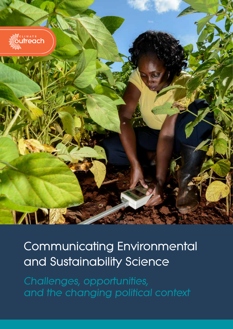

# **Communicating Environmental and Sustainability Science**

*Challenges, opportunities, and the changing political context*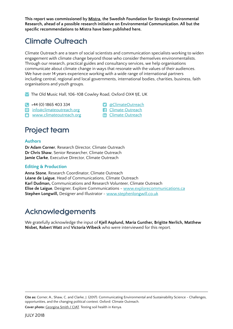**This report was commissioned by [Mistra](https://www.mistra.org/en/), the Swedish Foundation for Strategic Environmental Research, ahead of a possible research initiative on Environmental Communication. All but the specific recommendations to Mistra have been published here.**

## Climate Outreach

Climate Outreach are a team of social scientists and communication specialists working to widen engagement with climate change beyond those who consider themselves environmentalists. Through our research, practical guides and consultancy services, we help organisations communicate about climate change in ways that resonate with the values of their audiences. We have over 14 years experience working with a wide range of international partners including central, regional and local governments, international bodies, charities, business, faith organisations and youth groups.

**fm** Climate Outreach

 $\blacktriangleright$  The Old Music Hall, 106-108 Cowley Road, Oxford OX4 1JE, UK

- +44 (0) 1865 403 334 [@ClimateOutreach](https://twitter.com/climateoutreach)
- **@** [info@climateoutreach.org](mailto:info%40climateoutreach.org?subject=) <br> **a** [Climate Outreach](https://www.facebook.com/ClimateOutreachCOIN/)

 $\Omega$  www.climate outreach.org

## Project team

#### **Authors**

**Dr Adam Corner**, Research Director, Climate Outreach **Dr Chris Shaw**, Senior Researcher, Climate Outreach **Jamie Clarke**, Executive Director, Climate Outreach

#### **Editing & Production**

**Anna Stone**, Research Coordinator, Climate Outreach **Léane de Laigue**, Head of Communications, Climate Outreach **Karl Dudman,** Communications and Research Volunteer, Climate Outreach **Elise de Laigue**, Designer, Explore Communications - www[.explorecommunications.ca](http://www.explorecommunications.ca) **Stephen Longwill,** Designer and Illustrator - [www.stephenlongwill.co.uk](http://www.stephenlongwill.co.uk)

## Acknowledgements

We gratefully acknowledge the input of **Kjell Asplund, Maria Gunther, Brigitte Nerlich, Matthew Nisbet, Robert Watt** and **Victoria Wibeck** who were interviewed for this report.

**Cite as:** Corner, A., Shaw, C. and Clarke, J. (2017). Communicating Environmental and Sustainability Science - Challenges, opportunities, and the changing political context. Oxford: Climate Outreach.

**Cover photo:** [Georgina Smith / CIAT](https://www.climatevisuals.org/images?f%5B0%5D=usage%3ACreative%20Commons&id=565). Testing soil health in Kenya.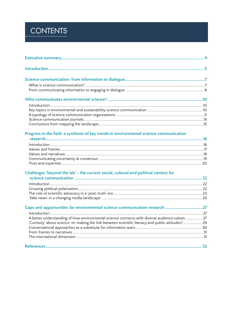## **CONTENTS**

| Progress in the field: a synthesis of key trends in environmental science communication           |  |
|---------------------------------------------------------------------------------------------------|--|
|                                                                                                   |  |
|                                                                                                   |  |
|                                                                                                   |  |
|                                                                                                   |  |
|                                                                                                   |  |
| Challenges 'beyond the lab' - the current social, cultural and political context for              |  |
|                                                                                                   |  |
|                                                                                                   |  |
|                                                                                                   |  |
|                                                                                                   |  |
| Gaps and opportunities for environmental science communication research 27                        |  |
|                                                                                                   |  |
| A better understanding of how environmental science connects with diverse audience values 27      |  |
| 'Curiosity' about science: re-making the link between scientific literacy and public attitudes?29 |  |
|                                                                                                   |  |
|                                                                                                   |  |
|                                                                                                   |  |
|                                                                                                   |  |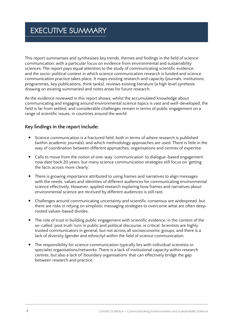## <span id="page-3-0"></span>**EXECUTIVE SUMMARY**

This report summarises and synthesises key trends, themes and findings in the field of science communication, with a particular focus on evidence from environmental and sustainability sciences. The report pays equal attention to the study of communicating scientific evidence, and the socio-political context in which science communication research is funded and science communication practice takes place. It maps existing research and capacity (journals, institutions, programmes, key publications, think tanks), reviews existing literature (a high level synthesis drawing on existing summaries) and notes areas for future research.

As the evidence reviewed in this report shows, whilst the accumulated knowledge about communicating and engaging around environmental science topics is vast and well-developed, the field is far from settled, and considerable challenges remain in terms of public engagement on a range of scientific issues, in countries around the world.

#### **Key findings in the report include:**

- Science communication is a fractured field, both in terms of where research is published (within academic journals), and which methodology approaches are used. There is little in the way of coordination between different approaches, organisations and centres of expertise.
- Calls to move from the notion of one-way 'communication' to dialogue-based engagement now date back 20 years, but many science communication strategies still focus on 'getting the facts across more clearly'.
- There is growing importance attributed to using frames and narratives to align messages with the needs, values and identities of different audiences for communicating environmental science effectively. However, applied research exploring how frames and narratives about environmental science are received by different audiences is still rare.
- Challenges around communicating uncertainty and scientific consensus are widespread, but there are risks in relying on simplistic messaging strategies to overcome what are often deeprooted values-based divides.
- The role of trust in building public engagement with scientific evidence, in the context of the so-called 'post truth' turn in public and political discourse, is critical. Scientists are highly trusted communicators in general, but not across all socioeconomic groups, and there is a lack of diversity (gender and ethnicity) within the field of science communication.
- The responsibility for science communication typically lies with individual scientists or specialist organisations/networks. There is a lack of institutional capacity within research centres, but also a lack of 'boundary organisations' that can effectively bridge the gap between research and practice.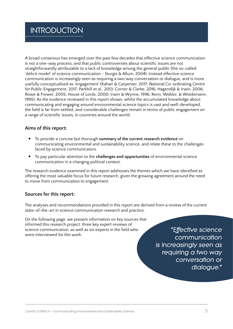## <span id="page-4-0"></span>**INTRODUCTION**

A broad consensus has emerged over the past few decades that effective science communication is not a one-way process, and that public controversies about scientific issues are not straightforwardly attributable to a lack of knowledge among the general public (the so-called 'deficit model' of science communication - Sturgis & Allum, 2004). Instead effective science communication is increasingly seen as requiring a two way conversation or dialogue, and is more usefully conceptualised as 'engagement' (Kahan & Carpenter, 2017; National Co-ordinating Centre for Public Engagement, 2017; Parkhill et al., 2013; Corner & Clarke, 2016; Hagendijk & Irwin, 2006; Rowe & Frewer, 2005; House of Lords, 2000; Irwin & Wynne, 1996; Renn, Webler, & Wiedemann, 1995). As the evidence reviewed in this report shows, whilst the accumulated knowledge about communicating and engaging around environmental science topics is vast and well-developed, the field is far from settled, and considerable challenges remain in terms of public engagement on a range of scientific issues, in countries around the world.

#### **Aims of this report:**

- To provide a concise but thorough summary of the current research evidence on communicating environmental and sustainability science, and relate these to the challenges faced by science communicators.
- y To pay particular attention to the **challenges and opportunities** of environmental science communication in a changing political context.

The research evidence examined in this report addresses the themes which we have identified as offering the most valuable focus for future research, given the growing agreement around the need to move from communication to engagement.

#### **Sources for this report:**

The analyses and recommendations provided in this report are derived from a review of the current state-of-the-art in science communication research and practice.

On the following page, we present information on key sources that informed this research project: three key expert reviews of science communication, as well as six experts in the field who *"Effective science*<br>were interviewed for this work. *COMMUNICATION* 

*communication is increasingly seen as requiring a two way conversation or dialogue."*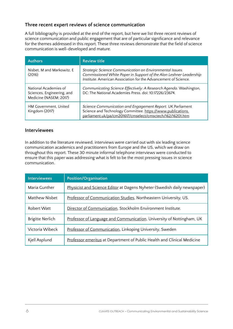#### **Three recent expert reviews of science communication**

A full bibliography is provided at the end of the report, but here we list three recent reviews of science communication and public engagement that are of particular significance and relevance for the themes addressed in this report. These three reviews demonstrate that the field of science communication is well-developed and mature.

| <b>Authors</b>                                                                | <b>Review title</b>                                                                                                                                                                               |
|-------------------------------------------------------------------------------|---------------------------------------------------------------------------------------------------------------------------------------------------------------------------------------------------|
| Nisbet, M and Markowitz, E<br>(2016)                                          | Strategic Science Communication on Environmental Issues.<br>Commissioned White Paper in Support of the Alan Leshner Leadership<br>Institute. American Association for the Advancement of Science. |
| National Academies of<br>Sciences, Engineering, and<br>Medicine (NASEM; 2017) | Communicating Science Effectively: A Research Agenda. Washington,<br>DC: The National Academies Press. doi: 10.17226/23674.                                                                       |
| HM Government, United<br>Kingdom (2017)                                       | Science Communication and Engagement Report. UK Parliament<br>Science and Technology Committee. https://www.publications.<br>parliament.uk/pa/cm201617/cmselect/cmsctech/162/16201.htm            |

#### **Interviewees**

In addition to the literature reviewed, interviews were carried out with six leading science communication academics and practitioners from Europe and the US, which we draw on throughout this report. These 30 minute informal telephone interviews were conducted to ensure that this paper was addressing what is felt to be the most pressing issues in science communication.

| <b>Interviewees</b>     | <b>Position/Organisation</b>                                             |
|-------------------------|--------------------------------------------------------------------------|
| Maria Gunther           | Physicist and Science Editor at Dagens Nyheter (Swedish daily newspaper) |
| <b>Matthew Nisbet</b>   | Professor of Communication Studies, Northeastern University, US.         |
| Robert Watt             | Director of Communication, Stockholm Environment Institute.              |
| <b>Brigitte Nerlich</b> | Professor of Language and Communication, University of Nottingham, UK    |
| Victoria Wibeck         | Professor of Communication, Linkoping University, Sweden                 |
| Kjell Asplund           | Professor emeritus at Department of Public Health and Clinical Medicine  |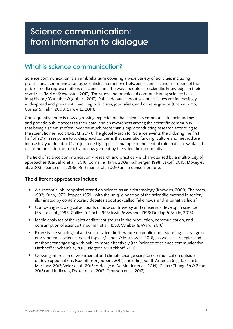## <span id="page-6-0"></span>Science communication: from information to dialogue

## What is science communication?

Science communication is an umbrella term covering a wide variety of activities including professional communication by scientists; interactions between scientists and members of the public; media representations of science; and the ways people use scientific knowledge in their own lives (Mellor & Webster, 2017). The study and practice of communicating science has a long history (Guenther & Joubert, 2017). Public debates about scientific issues are increasingly widespread and prevalent, involving politicians, journalists, and citizens groups (Brown, 2015; Corner & Hahn, 2009; Sarewitz, 2011).

Consequently, there is now a growing expectation that scientists communicate their findings and provide public access to their data, and an awareness among the scientific community that being a scientist often involves much more than simply conducting research according to the scientific method (NASEM, 2017). The global March for Science events (held during the first half of 2017 in response to widespread concerns that scientific funding, culture and method are increasingly under attack) are just one high-profile example of the central role that is now placed on communication, outreach and engagement by the scientific community.

The field of science communication - research and practice - is characterised by a multiplicity of approaches (Carvalho et al., 2016; Corner & Hahn, 2009; Kuhberger, 1998; Lakoff, 2010; Moxey et al., 2003; Pearce et al., 2015; Rothman et al., 2006) and a dense literature.

#### **The different approaches include:**

- A substantial philosophical strand on science as an epistemology (Knowles, 2003; Chalmers, 1992; Kuhn, 1970; Popper, 1959), with the unique position of the scientific method in society illuminated by contemporary debates about so-called 'fake news' and 'alternative facts.'
- Competing sociological accounts of how controversy and consensus develop in science (Brante et al., 1993; Collins & Pinch, 1993; Irwin & Wynne, 1996; Dunlap & Brulle, 2015).
- Media analyses of the roles of different groups in the production, communication, and consumption of science (Friedman et al., 1999; Whibey & Ward, 2016).
- Extensive psychological and social-scientific literature on public understanding of a range of environmental science-based topics (Nisbett & Markowitz, 2016), as well as strategies and methods for engaging with publics more effectively (the 'science of science communication' - Fischhoff & Scheufele, 2013; Pidgeon & Fischhoff, 2011).
- Growing interest in environmental and climate change science communication outside of developed nations (Guenther & Joubert, 2017), including South America (e.g. Takashi & Martinez, 2017; Velez et al., 2017) Africa (e.g. De Mulder et al., 2014), China (Chung-En & Zhao, 2016) and India (e.g.Thaker et al., 2017; Olofsson et al., 2017).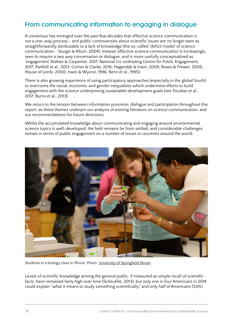## <span id="page-7-0"></span>From communicating information to engaging in dialogue

A consensus has emerged over the past few decades that effective science communication is not a one-way process - and public controversies about scientific issues are no longer seen as straightforwardly attributable to a lack of knowledge (the so-called 'deficit model' of science communication - Sturgis & Allum, 2004). Instead, effective science communication is increasingly seen to require a two way conversation or dialogue, and is more usefully conceptualised as 'engagement' (Kahan & Carpenter, 2017; National Co-ordinating Centre for Public Engagement, 2017; Parkhill et al., 2013; Corner & Clarke, 2016; Hagendijk & Irwin, 2006; Rowe & Frewer, 2005; House of Lords, 2000; Irwin & Wynne, 1996; Renn et al., 1995).

There is also growing experience of using participatory approaches (especially in the global South) to overcome the social, economic and gender inequalities which undermine efforts to build engagement with the science underpinning sustainable development goals (see Escobar et al., 2017; Burns et al., 2013).

We return to the tension between information provision, dialogue and participation throughout this report, as these themes underpin our analysis of existing literature on science communication, and our recommendations for future directions.

Whilst the accumulated knowledge about communicating and engaging around environmental science topics is well-developed, the field remains far from settled, and considerable challenges remain in terms of public engagement on a number of issues in countries around the world.



Students in a biology class in Illinois. Photo: [University of Springfield Illinois](https://www.flickr.com/photos/illinoisspringfield/16439009157/in/photolist-r3EdGn-21inHSo-fucjJ8-24DRHMS-dGPVqg-bWdAvt-8rmY8R-7WS1d1-dGVmts-9GBvQj-ePtAgN-27SroDs-7WNHb2-7WNGGv-ePtAsA-23muPmn-dGVmXC-dGPdBk-ePtAbW-ePhbJk-ePtAkY-JZotNH-fzwZhL-7WNFWT-cdzVzh-F4yGLT-bWdzLx-ddVNTN-9JUYXP-22yUrCR-aPnUNB-25geoUN-5i8wmJ-23CRem9-F4yJKn-4K5ALW-bUmBVi-e4x6ou-cbHQjA-GNQFX1-7WS19G-8Qgo5q-bWdBcR-bUmCbe-dGPWHD-ejdkey-bBraRY-bWPQe-22z2wFN-Ehcuyt)

Levels of scientific knowledge among the general public, if measured as simple recall of scientific facts, have remained fairly high over time (Scheufele, 2013), but only one in four Americans in 2014 could explain "what it means to study something scientifically," and only half of Americans (53%)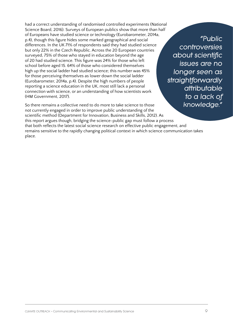had a correct understanding of randomised controlled experiments (National Science Board, 2016). Surveys of European publics show that more than half of Europeans have studied science or technology (Eurobarometer, 2014a, p.4), though this figure hides some marked geographical and social differences. In the UK 71% of respondents said they had studied science but only 22% in the Czech Republic. Across the 20 European countries surveyed, 75% of those who stayed in education beyond the age of 20 had studied science. This figure was 24% for those who left school before aged 15. 64% of those who considered themselves high up the social ladder had studied science; this number was 45% for those perceiving themselves as lower down the social ladder (Eurobarometer, 2014a, p.4). Despite the high numbers of people reporting a science education in the UK, most still lack a personal connection with science, or an understanding of how scientists work (HM Government, 2017).

*"Public controversies about scientific issues are no longer seen as straightforwardly attributable to a lack of knowledge."*

So there remains a collective need to do more to take science to those not currently engaged in order to improve public understanding of the scientific method (Department for Innovation, Business and Skills, 2012). As this report argues though, bridging the science-public gap must follow a process that both reflects the latest social science research on effective public engagement, and remains sensitive to the rapidly changing political context in which science communication takes place.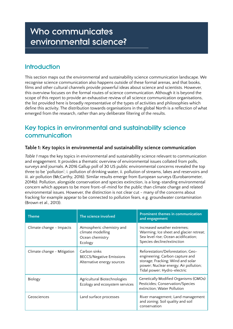## <span id="page-9-0"></span>Who communicates environmental science?

## Introduction

This section maps out the environmental and sustainability science communication landscape. We recognise science communication also happens outside of these formal arenas, and that books, films and other cultural channels provide powerful ideas about science and scientists. However, this overview focuses on the formal routes of science communication. Although it is beyond the scope of this report to provide an exhaustive review of all science communication organisations, the list provided here is broadly representative of the types of activities and philosophies which define this activity. The distribution towards organisations in the global North is a reflection of what emerged from the research, rather than any deliberate filtering of the results.

### Key topics in environmental and sustainability science communication

#### **Table 1: Key topics in environmental and sustainability science communication**

*Table 1* maps the key topics in environmental and sustainability science relevant to communication and engagement. It provides a thematic overview of environmental issues collated from polls, surveys and journals. A 2016 Gallup poll of 30 US public environmental concerns revealed the top three to be 'pollution'; i. pollution of drinking water, ii. pollution of streams, lakes and reservoirs and iii. air pollution (McCarthy, 2016). Similar results emerge from European surveys (Eurobarometer, 2014b). Pollution, alongside conservation and species extinction, is a long-standing environmental concern which appears to be more front-of-mind for the public than climate change and related environmental issues. However, the distinction is not clear cut - many of the concerns about fracking for example appear to be connected to pollution fears, e.g. groundwater contamination (Brown et al., 2013).

| <b>Theme</b>                | The science involved                                                          | Prominent themes in communication<br>and engagement                                                                                                                               |
|-----------------------------|-------------------------------------------------------------------------------|-----------------------------------------------------------------------------------------------------------------------------------------------------------------------------------|
| Climate change - Impacts    | Atmospheric chemistry and<br>climate modelling<br>Ocean chemistry<br>Ecology  | Increased weather extremes;<br>Warming; Ice sheet and glacier retreat;<br>Sea level rise; Ocean acidification;<br>Species decline/extinction                                      |
| Climate change - Mitigation | Carbon sinks<br><b>BECCS/Negative Emissions</b><br>Alternative energy sources | Reforestation/Deforestation; Geo-<br>engineering; Carbon capture and<br>storage; Fracking; Wind and solar<br>power; Nuclear energy; Air pollution;<br>Tidal power; Hydro-electric |
| Biology                     | Agricultural Biotechnologies<br>Ecology and ecosystem services                | <b>Genetically Modified Organisms (GMOs)</b><br>Pesticides; Conservation/Species<br>extinction; Water Pollution                                                                   |
| Geosciences                 | Land surface processes                                                        | River management; Land management<br>and zoning; Soil quality and soil<br>conservation                                                                                            |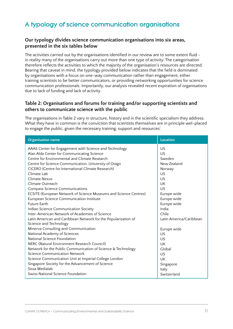## <span id="page-10-0"></span>A typology of science communication organisations

#### **Our typology divides science communication organisations into six areas, presented in the six tables below**

The activities carried out by the organisations identified in our review are to some extent fluid in reality many of the organisations carry out more than one type of activity. The categorisation therefore reflects the activities to which the majority of the organisation's resources are directed. Bearing that caveat in mind, the typology provided below indicates that the field is dominated by organisations with a focus on one-way communication rather than engagement, either training scientists to be better communicators, or providing networking opportunities for science communication professionals. Importantly, our analysis revealed recent expiration of organisations due to lack of funding and lack of activity.

#### **Table 2: Organisations and forums for training and/or supporting scientists and others to communicate science with the public**

The organisations in Table 2 vary in structure, history and in the scientific specialism they address. What they have in common is the conviction that scientists themselves are in principle wel-placed to engage the public, given the necessary training, support and resources'.

| <b>Organisation name</b>                                         | <b>Location</b>         |
|------------------------------------------------------------------|-------------------------|
| AAAS Center for Engagement with Science and Technology           | US                      |
| Alan Alda Center for Communicating Science                       | US                      |
| Centre for Environmental and Climate Research                    | Sweden                  |
| Centre for Science Communication, University of Otago            | New Zealand             |
| CICERO (Centre for International Climate Research)               | Norway                  |
| Climate Lab                                                      | US                      |
| Climate Nexus                                                    | US                      |
| Climate Outreach                                                 | UK                      |
| <b>Compass Science Communications</b>                            | US                      |
| ECSITE (European Network of Science Museums and Science Centres) | Europe wide             |
| European Science Communication Institute                         | Europe wide             |
| <b>Future Earth</b>                                              | Europe wide             |
| Indian Science Communication Society                             | India                   |
| Inter-American Network of Academies of Science                   | Chile                   |
| Latin American and Caribbean Network for the Popularization of   | Latin America/Caribbean |
| Science and Technology                                           |                         |
| Minerva Consulting and Communication                             | Europe wide             |
| National Academy of Sciences                                     | US                      |
| National Science Foundation                                      | US                      |
| NERC (Natural Environment Research Council)                      | UK                      |
| Network for the Public Communication of Science & Technology     | Global                  |
| Science Communication Network                                    | US                      |
| Science Communication Unit at Imperial College London            | UK                      |
| Singapore Society for the Advancement of Science                 | Singapore               |
| Sissa Medialab                                                   | Italy                   |
| Swiss National Science Foundation                                | Switzerland             |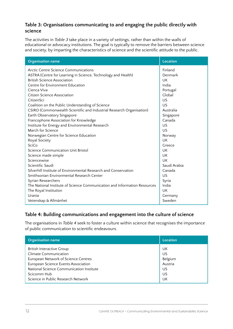#### **Table 3: Organisations communicating to and engaging the public directly with science**

The activities in *Table 3* take place in a variety of settings, rather than within the walls of educational or advocacy institutions. The goal is typically to remove the barriers between science and society, by imparting the characteristics of science and the scientific attitude to the public.

| <b>Organisation name</b>                                                  | <b>Location</b> |
|---------------------------------------------------------------------------|-----------------|
| Arctic Centre Science Communications                                      | Finland         |
| ASTRA (Centre for Learning in Science, Technology and Health)             | Denmark         |
| <b>British Science Association</b>                                        | UK              |
| Centre for Environment Education                                          | India           |
| Cienca Viva                                                               | Portugal        |
| <b>Citizen Science Association</b>                                        | Global          |
| CitizenSci                                                                | <b>US</b>       |
| Coalition on the Public Understanding of Science                          | <b>US</b>       |
| CSIRO (Commonwealth Scientific and Industrial Research Organisation)      | Australia       |
| Earth Observatory Singapore                                               | Singapore       |
| Francophone Association for Knowledge                                     | Canada          |
| Institute for Energy and Environmental Research                           | US              |
| March for Science                                                         | US              |
| Norwegian Centre for Science Education                                    | Norway          |
| Royal Society                                                             | UK              |
| SciCo                                                                     | Greece          |
| <b>Science Communication Unit Bristol</b>                                 | UK              |
| Science made simple                                                       | UK              |
| Sciencewise                                                               | UK              |
| Scientific Saudi                                                          | Saudi Arabia    |
| Silverhill Institute of Environmental Research and Conservation           | Canada          |
| Smithsonian Environmental Research Center                                 | US              |
| Syrian Researchers                                                        | Syria           |
| The National Institute of Science Communication and Information Resources | India           |
| The Royal Institution                                                     | UK              |
| Urania                                                                    | Germany         |
| Vetenskap & Allmänhet                                                     | Sweden          |

#### **Table 4: Building communications and engagement into the culture of science**

The organisations in *Table 4* seek to foster a culture within science that recognises the importance of public communication to scientific endeavours.

| <b>Organisation name</b>                 | Location |
|------------------------------------------|----------|
| <b>British Interactive Group</b>         | UK       |
| <b>Climate Communication</b>             | US       |
| European Network of Science Centres      | Belgium  |
| European Science Events Association      | Austria  |
| National Science Communication Institute | US       |
| Scicomm Hub                              | US       |
| Science in Public Research Network       | UK       |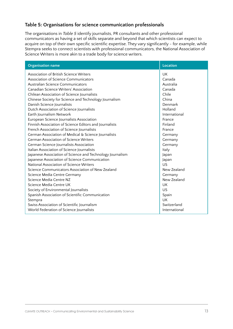#### **Table 5: Organisations for science communication professionals**

The organisations in *Table 5* identify journalists, PR consultants and other professional communicators as having a set of skills separate and beyond that which scientists can expect to acquire on top of their own specific scientific expertise. They vary significantly - for example, while Stempra seeks to connect scientists with professional communicators, the National Association of Science Writers is more akin to a trade body for science writers.

| <b>Organisation name</b>                                  | <b>Location</b> |
|-----------------------------------------------------------|-----------------|
| Association of British Science Writers                    | <b>UK</b>       |
| Association of Science Communicators                      | Canada          |
| Australian Science Communicators                          | Australia       |
| Canadian Science Writers' Association                     | Canada          |
| Chilean Association of Science Journalists                | Chile           |
| Chinese Society for Science and Technology Journalism     | China           |
| Danish Science Journalists                                | Denmark         |
| Dutch Association of Science Journalists                  | Holland         |
| Earth Journalism Network                                  | International   |
| European Science Journalists Association                  | France          |
| Finnish Association of Science Editors and Journalists    | Finland         |
| French Association of Science Journalists                 | France          |
| German Association of Medical & Science Journalists       | Germany         |
| <b>German Association of Science Writers</b>              | Germany         |
| German Science Journalists Association                    | Germany         |
| Italian Association of Science Journalists                | Italy           |
| Japanese Association of Science and Technology Journalism | Japan           |
| Japanese Association of Science Communication             | Japan           |
| National Association of Science Writers                   | 115             |
| Science Communicators Association of New Zealand          | New Zealand     |
| Science Media Centre Germany                              | Germany         |
| Science Media Centre NZ                                   | New Zealand     |
| Science Media Centre UK                                   | UK              |
| Society of Environmental Journalists                      | US              |
| Spanish Association of Scientific Communication           | Spain           |
| Stempra                                                   | <b>UK</b>       |
| Swiss Association of Scientific Journalism                | Switzerland     |
| World Federation of Science Journalists                   | International   |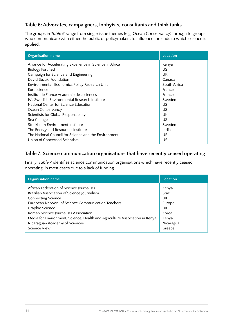#### **Table 6: Advocates, campaigners, lobbyists, consultants and think tanks**

The groups in *Table 6* range from single issue themes (e.g. Ocean Conservancy) through to groups who communicate with either the public or policymakers to influence the ends to which science is applied.

| <b>Organisation name</b>                                  | <b>Location</b> |
|-----------------------------------------------------------|-----------------|
| Alliance for Accelerating Excellence in Science in Africa | Kenya           |
| <b>Biology Fortified</b>                                  | US              |
| Campaign for Science and Engineering                      | UK              |
| David Suzuki Foundation                                   | Canada          |
| Environmental-Economics Policy Research Unit              | South Africa    |
| Euroscience                                               | France          |
| Institut de France Academie des sciences                  | France          |
| <b>IVL Swedish Environmental Research Institute</b>       | Sweden          |
| National Center for Science Education                     | US.             |
| Ocean Conservancy                                         | US              |
| Scientists for Global Responsibility                      | UK              |
| Sea Change                                                | US              |
| Stockholm Environment Institute                           | Sweden          |
| The Energy and Resources Institute                        | India           |
| The National Council for Science and the Environment      | US              |
| Union of Concerned Scientists                             | US              |

### **Table 7: Science communication organisations that have recently ceased operating**

Finally, *Table 7* identifies science communication organisations which have recently ceased operating, in most cases due to a lack of funding.

| <b>Organisation name</b>                                                                                                                                                                                                                                                                                                                                  | Location                                                             |
|-----------------------------------------------------------------------------------------------------------------------------------------------------------------------------------------------------------------------------------------------------------------------------------------------------------------------------------------------------------|----------------------------------------------------------------------|
| African Federation of Science Journalists<br>Brazilian Association of Science Journalism<br><b>Connecting Science</b><br>European Network of Science Communication Teachers<br>Graphic Science<br>Korean Science Journalists Association<br>Media for Environment, Science, Health and Agriculture Association in Kenya<br>Nicaraguan Academy of Sciences | Kenya<br>Brazil<br>UK<br>Europe<br>UK<br>Korea<br>Kenya<br>Nicaragua |
| Science View                                                                                                                                                                                                                                                                                                                                              | Greece                                                               |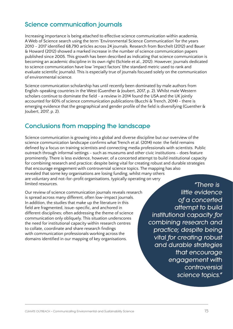## <span id="page-14-0"></span>Science communication journals

Increasing importance is being attached to effective science communication within academia. A Web of Science search using the term 'Environmental Science Communication' for the years 2010 - 2017 identified 68,790 articles across 24 journals. Research from Borchelt (2012) and Bauer & Howard (2012) showed a marked increase in the number of science communication papers published since 2005. This growth has been described as indicating that science communication is becoming an academic discipline in its own right (Schiele et al., 2012). However, journals dedicated to science communication have low 'impact factors' (the standard metric used to rank and evaluate scientific journals). This is especially true of journals focused solely on the communication of environmental science.

Science communication scholarship has until recently been dominated by male authors from English-speaking countries in the West (Guenther & Joubert, 2017, p. 2). Whilst male Western scholars continue to dominate the field - a review in 2014 found the USA and the UK jointly accounted for 60% of science communication publications (Bucchi & Trench, 2014) - there is emerging evidence that the geographical and gender profile of the field is diversifying (Guenther & Joubert, 2017, p. 2).

### Conclusions from mapping the landscape

Science communication is growing into a global and diverse discipline but our overview of the science communication landscape confirms what Trench et al. (2014) note: the field remains defined by a focus on training scientists and connecting media professionals with scientists. Public outreach through informal settings - such as museums and other civic institutions - does feature prominently. There is less evidence, however, of a concerted attempt to build institutional capacity for combining research and practice; despite being vital for creating robust and durable strategies that encourage engagement with controversial science topics. The mapping has also revealed that some key organisations are losing funding, whilst many others are voluntary and not-for-profit organisations, typically operating on very limited resources. *"There is* 

Our review of science communication journals reveals research is spread across many different, often low-impact journals. In addition, the studies that make up the literature in this field are fragmented, issue-specific, and anchored in different disciplines; often addressing the theme of science communication only obliquely. This situation underscores the need for institutional capacity within research centres to collate, coordinate and share research findings with communication professionals working across the domains identified in our mapping of key organisations.

*little evidence of a concerted attempt to build institutional capacity for combining research and practice; despite being vital for creating robust and durable strategies that encourage engagement with controversial science topics."*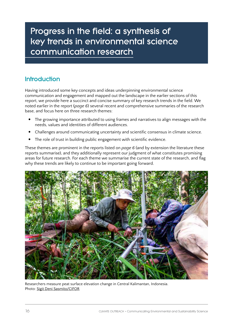## <span id="page-15-0"></span>Progress in the field: a synthesis of key trends in environmental science communication research

## **Introduction**

Having introduced some key concepts and ideas underpinning environmental science communication and engagement and mapped out the landscape in the earlier sections of this report, we provide here a succinct and concise summary of key research trends in the field. We noted earlier in the report (*page 6*) several recent and comprehensive summaries of the research base, and focus here on three research themes:

- The growing importance attributed to using frames and narratives to align messages with the needs, values and identities of different audiences.
- Challenges around communicating uncertainty and scientific consensus in climate science.
- The role of trust in building public engagement with scientific evidence.

These themes are prominent in the reports listed on *page 6* (and by extension the literature these reports summarise), and they additionally represent our judgment of what constitutes promising areas for future research. For each theme we summarise the current state of the research, and flag why these trends are likely to continue to be important going forward.



Researchers measure peat surface elevation change in Central Kalimantan, Indonesia. Photo: [Sigit Deni Sasmito/CIFOR](https://www.flickr.com/photos/cifor/26089042138/in/album-72157692023592894/)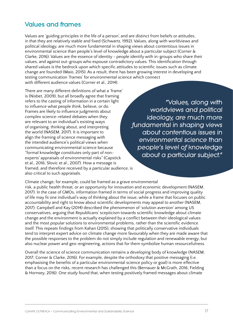### Values and frames

Values are 'guiding principles in the life of a person', and are distinct from beliefs or attitudes, in that they are relatively stable and fixed (Schwartz, 1992). Values, along with worldviews and political ideology, are much more fundamental in shaping views about contentious issues in environmental science than people's level of knowledge about a particular subject (Corner & Clarke, 2016). Values are the essence of identity - people identify with in-groups who share their values, and against out-groups who espouse contradictory values. This identification through shared values is the bedrock upon which specific attitudes to scientific issues such as climate change are founded (Maio, 2015). As a result, there has been growing interest in developing and testing communication 'frames' for environmental science which connect with different audience values (Corner et al., 2014).

There are many different definitions of what a 'frame' is (Nisbet, 2009), but all broadly agree that framing refers to the casting of information in a certain light to influence what people think, believe, or do. Frames are likely to influence judgments about complex science-related debates when they are relevant to an individual's existing ways of organising, thinking about, and interpreting the world (NASEM, 2017). It is important to align the framing of science messaging with the intended audience's political views when communicating environmental science because "formal knowledge constitutes only part of nonexperts' appraisals of environmental risks" (Capstick et al., 2016; Slovic et al., 2007). How a message is framed, and therefore received by a particular audience, is also critical to such appraisals.

*"Values, along with worldviews and political ideology, are much more fundamental in shaping views about contentious issues in environmental science than people's level of knowledge about a particular subject."*

Climate change, for example, could be framed as a grave environmental risk, a public health threat, or an opportunity for innovation and economic development (NASEM, 2017). In the case of GMOs, information framed in terms of social progress and improving quality of life may fit one individual's way of thinking about the issue, while a frame that focuses on public accountability and right to know about scientific developments may appeal to another (NASEM, 2017). Campbell and Kay (2014) described the phenomenon of 'solution aversion' among US conservatives, arguing that Republicans' scepticism towards scientific knowledge about climate change and the environment is actually explained by a conflict between their ideological values and the most popular solutions to environmental problems, rather than the scientific evidence itself. This repeats findings from Kahan (2015), showing that politically conservative individuals tend to interpret expert advice on climate change more favourably when they are made aware that the possible responses to the problem do not simply include regulation and renewable energy, but also nuclear power and geo-engineering, actions that for them symbolize human resourcefulness.

Overall the science of science communication remains a developing body of knowledge (NASEM, 2017; Corner & Clarke, 2016). For example, despite the orthodoxy that positive messaging (i.e. emphasising the benefits of a particular environmental science policy or goal) is more effective than a focus on the risks, recent research has challenged this (Bernauer & McGrath, 2016; Fielding & Hornsey, 2016). One study found that, when testing positively framed messages about climate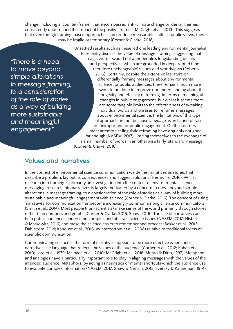<span id="page-17-0"></span>change, including a 'counter-frame' that encompassed anti-climate change or 'denial' themes consistently undermined the impact of the positive frames (McCright et al., 2013). This suggests that even though framing-based approaches can produce measurable shifts in public views, they may be fragile or temporary (Corner & Clarke, 2016).

*"There is a need to move beyond simple alterations in message framing, to a consideration of the role of stories as a way of building more sustainable and meaningful engagement."*

Unsettled results such as these led one leading environmental journalist to recently dismiss the value of message-framing, suggesting that 'magic words' would not alter people's longstanding beliefs and perspectives, which are grounded in deep-rooted (and therefore unchangeable) values and worldviews (Roberts, 2016). Certainly, despite the extensive literature on differentially framing messages about environmental science for public audiences, there remains much more work to be done to improve our understanding about the longevity and efficacy of framing, in terms of meaningful changes in public engagement. But whilst it seems there are some tangible limits to the effectiveness of tweaking individual words and phrases to 'reframe' messages about environmental science, the limitations of this type of approach are not because language, words, and phrases are unimportant for public engagement. On the contrary, most attempts at linguistic reframing have arguably not gone far enough (NASEM, 2017), limiting themselves to the exchange of a small number of words in an otherwise fairly 'standard' message (Corner & Clarke, 2016).

### Values and narratives

In the context of environmental science communication we define narratives as stories that describe a problem, lay out its consequences and suggest solutions (Hermville, 2016). Whilst research into framing is primarily an investigation into the content of environmental science messaging, research into narratives is largely motivated by a concern to move beyond simple alterations in message framing, to a consideration of the role of stories as a way of building more sustainable and meaningful engagement with science (Corner & Clarke, 2016). The concept of using 'narratives' for communication has become increasingly common among climate communicators (Smith et al., 2014). Most people (non-scientists) make sense of the world primarily through stories, rather than numbers and graphs (Corner & Clarke, 2016; Shaw, 2016). The use of narratives can help public audiences understand complex and abstract science issues (NASEM, 2017; Nisbet & Markowitz, 2016) and make the science easier to remember and process (Bekker et al., 2013; Dahlstrom, 2014; Kanouse et al., 2016; Winterbottom et al., 2008) relative to traditional forms of scientific communication.

Communicating science in the form of narratives appears to be more effective when those narratives use language that reflects the values of the audience (Corner et al., 2012; Kahan et al., 2010; Lord et al., 1979; Maibach et al., 2010; McCright et al., 2016; Munro & Ditto, 1997). Metaphors and analogies have a particularly important role to play in aligning messages with the values of the intended audience. Metaphors, by acting as heuristics or mental shortcuts which the audience use to evaluate complex information (NASEM, 2017; Shaw & Nerlich, 2015; Tversky & Kahneman, 1974),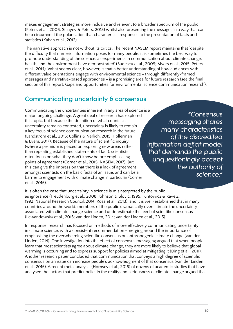makes engagement strategies more inclusive and relevant to a broader spectrum of the public (Peters et al., 2006; Sinayev & Peters, 2015) whilst also presenting the messages in a way that can help circumvent the polarisation that characterises responses to the presentation of facts and statistics (Kahan et al., 2012).

The narrative approach is not without its critics. The recent NASEM report maintains that 'despite the difficulty that numeric information poses for many people, it is sometimes the best way to promote understanding of the science, as experiments in communication about climate change, health, and the environment have demonstrated' (Budescu et al., 2009; Myers et al., 2015; Peters et al., 2014). What seems clear, however, is that a better understanding of how audiences with different value orientations engage with environmental science - through differently-framed messages and narrative-based approaches - is a promising area for future research (see the final section of this report: Gaps and opportunities for environmental science communication research).

### Communicating uncertainty & consensus

Communicating the uncertainties inherent in any area of science is a major, ongoing challenge. A great deal of research has explored this topic, but because the definition of what counts as uncertainty remains contested, uncertainty is likely to remain a key focus of science communication research in the future (Landström et al., 2015; Collins & Nerlich, 2015; Hollerman & Evers, 2017). Because of the nature of scientific inquiry (where a premium is placed on exploring new areas rather than repeating established statements of fact), scientists often focus on what they don't know before emphasising points of agreement (Corner et al., 2015; NASEM, 2017). But this can give the impression that there is a lack of agreement amongst scientists on the basic facts of an issue, and can be a barrier to engagement with climate change in particular (Corner et al., 2015).

*"Consensus messaging shares many characteristics of the discredited information deficit model that demands the public unquestioningly accept the authority of science."*

It is often the case that uncertainty in science is misinterpreted by the public as ignorance (Freudenburg et al., 2008; Johnson & Slovic, 1995; Funtowicz & Ravetz, 1992; National Research Council, 2014; Rosa et al., 2013), and it is well-established that in many countries around the world, members of the public dramatically overestimate the uncertainty associated with climate change science and underestimate the level of scientific consensus (Lewandowsky et al., 2015; van der Linden, 2014; van der Linden et al., 2015).

In response, research has focused on methods of more effectively communicating uncertainty in climate science, with a consistent recommendation emerging around the importance of emphasising the overwhelming scientific consensus on anthropogenic climate change (van der Linden, 2014). One investigation into the effect of consensus messaging argued that when people learn that most scientists agree about climate change, they are more likely to believe that global warming is occurring and to express support for policies aimed at mitigating it (Ding et al., 2011). Another research paper concluded that communication that conveys a high degree of scientific consensus on an issue can increase people's acknowledgment of that consensus (van der Linden et al., 2015). A recent meta-analysis (Hornsey et al., 2016) of dozens of academic studies that have analysed the factors that predict belief in the reality and seriousness of climate change argued that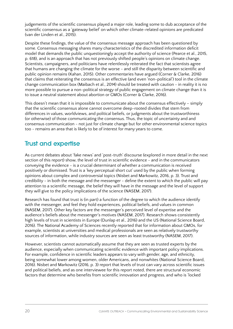<span id="page-19-0"></span>judgements of the scientific consensus played a major role, leading some to dub acceptance of the scientific consensus as a 'gateway belief' on which other climate-related opinions are predicated (van der Linden et al., 2015).

Despite these findings, the value of the consensus message approach has been questioned by some. Consensus messaging shares many characteristics of the discredited information deficit model that demands the public unquestioningly accept the authority of science (Pearce et al., 2015, p. 618), and is an approach that has not previously shifted people's opinions on climate change. Scientists, campaigners, and politicians have relentlessly reiterated the fact that scientists agree that humans are changing the climate for the worse - and still the disparity between scientific and public opinion remains (Kahan, 2015). Other commentaries have argued (Corner & Clarke, 2016) that claims that reiterating the consensus is an effective (and even 'non-political') tool in the climate change communication box (Maibach et al., 2014) should be treated with caution - in reality it is no more possible to pursue a non-political strategy of public engagement on climate change than it is to issue a neutral statement about abortion or GMOs (Corner & Clarke, 2016).

This doesn't mean that it is impossible to communicate about the consensus effectively – simply that the scientific consensus alone cannot overcome deep-rooted divides that stem from differences in values, worldviews, and political beliefs, or judgments about the trustworthiness (or otherwise) of those communicating the consensus. Thus, the topic of uncertainty and and consensus communication - not just for climate change but for other environmental science topics too - remains an area that is likely to be of interest for many years to come.

## Trust and expertise

As current debates about 'fake news' and 'post-truth' discourse (explored in more detail in the next section of this report) show, the level of trust in scientific evidence - and in the communicators conveying the evidence - is a crucial determinant of whether a communication is received positively or dismissed. Trust is a 'key perceptual short cut' used by the public when forming opinions about complex and controversial topics (Nisbet and Markowitz, 2016, p. 3). Trust and credibility - in both the message and the messenger - define the extent to which the public will pay attention to a scientific message, the belief they will have in the message and the level of support they will give to the policy implications of the science (NASEM, 2017).

Research has found that trust is (in part) a function of the degree to which the audience identify with the messenger, and feel they hold experiences, political beliefs, and values in common (NASEM, 2017). Other key factors are the messenger's perceived level of expertise and the audience's beliefs about the messenger's motives (NASEM, 2017). Research shows consistently high levels of trust in scientists in Europe (Dunlap et al., 2016) and the US (National Science Board, 2016). The National Academy of Sciences recently reported that for information about GMOs, for example, scientists at universities and medical professionals are seen as relatively trustworthy sources of information, while industry sources are seen as least trustworthy (NASEM, 2017).

However, scientists cannot automatically assume that they are seen as trusted experts by the audience, especially when communicating scientific evidence with important policy implications. For example, confidence in scientific leaders appears to vary with gender, age, and ethnicity, being somewhat lower among women, older Americans, and nonwhites (National Science Board, 2016). Nisbet and Markowitz (2016, p. 3) report that levels of trust can vary across scientific issues and political beliefs, and as one interviewee for this report noted, there are structural economic factors that determine who benefits from scientific innovation and progress, and who is 'locked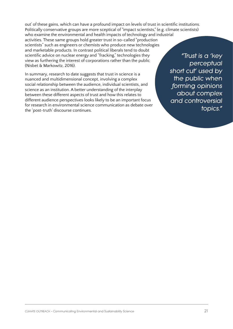out' of these gains, which can have a profound impact on levels of trust in scientific institutions. Politically conservative groups are more sceptical of "impact scientists," (e.g. climate scientists)

who examine the environmental and health impacts of technology and industrial activities. These same groups hold greater trust in so-called "production scientists" such as engineers or chemists who produce new technologies and marketable products. In contrast political liberals tend to doubt scientific advice on nuclear energy and "fracking," technologies they view as furthering the interest of corporations rather than the public (Nisbet & Markowitz, 2016).

In summary, research to date suggests that trust in science is a nuanced and multidimensional concept, involving a complex social relationship between the audience, individual scientists, and science as an institution. A better understanding of the interplay between these different aspects of trust and how this relates to different audience perspectives looks likely to be an important focus for research in environmental science communication as debate over the 'post-truth' discourse continues.

*"Trust is a 'key perceptual short cut' used by the public when forming opinions about complex and controversial topics."*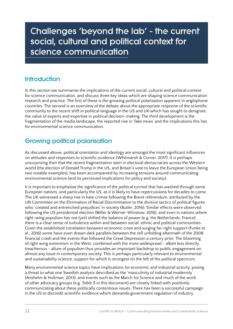## <span id="page-21-0"></span>Challenges 'beyond the lab' - the current social, cultural and political context for science communication

## **Introduction**

In this section we summarise the implications of the current social, cultural and political context for science communication, and discuss three key ideas which are shaping science communication research and practice. The first of these is the growing political polarization apparent in anglophone countries. The second is an overview of the debate about the appropriate response of the scientific community to the recent shift in political language in the US and UK which has sought to denigrate the value of experts and expertise in political decision-making. The third development is the fragmentation of the media landscape, the reported rise in 'fake news' and the implications this has for environmental science communication.

## Growing political polarisation

As discussed above, political orientation and ideology are amongst the most significant influences on attitudes and responses to scientific evidence (Whitmarsh & Corner, 2017). It is perhaps unsurprising then that the recent fragmentation seen in electoral democracies across the Western world (the election of Donald Trump in the US, and Britain's vote to leave the European Union being two notable examples), has been accompanied by increasing tensions around communicating environmental science (and its perceived implications for policy and society).

It is important to emphasise the significance of the political turmoil that has washed through some European nations, and particularly the US, as it is likely to have repercussions for decades to come. The UK witnessed a sharp rise in hate crimes following the Brexit referendum, attributed by the UN Committee on the Elimination of Racial Discrimination to the divisive tactics of political figures who 'created and entrenched prejudices' in society (Butler, 2016). Similar effects were observed following the US presidential election (Miller & Werner-Winslow, 2016), and even in nations where right-wing populism has not (yet) shifted the balance of power (e.g. the Netherlands, France), there is a clear sense of turbulence within and between social, ethnic and political communities. Given the established correlation between economic crisis and surging far-right support (Funke et al., 2016) some have even drawn dark parallels between the still unfolding aftermath of the 2008 financial crash and the events that followed the Great Depression a century prior. The blooming of right wing extremism in the West, combined with the more widespread - albeit less directly treacherous - allure of populism thus provides an important backdrop to public engagement on almost any issue in contemporary society. This is perhaps particularly relevant to environmental and sustainability science, support for which is strongest on the left of the political spectrum.

Many environmental science topics have implications for economic and industrial activity, posing a threat to what one Swedish analysis described as the 'masculinity of industrial modernity' (Anshelm & Hultman, 2013), and events such as the March for Science and much of the work of other advocacy groups (e.g. *Table 5* in this document) are closely linked with positively communicating about these politically contentious issues. There has been a successful campaign in the US to discredit scientific evidence which demands government regulation of industry.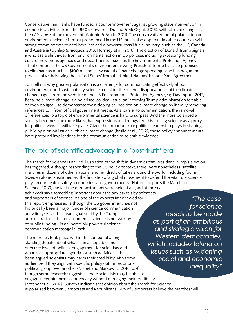<span id="page-22-0"></span>Conservative think tanks have funded a countermovement against growing state intervention in economic activities from the 1960's onwards (Dunlap & McCright, 2015), with climate change as the *bête noire* of the movement (Antonio & Brulle, 2011). The conservative/liberal polarisation on environmental science is most pronounced in the US, but is also apparent in other countries with strong commitments to neoliberalism and a powerful fossil fuels industry, such as the UK, Canada and Australia (Dunlap & Jacques, 2013; Hornsey et al., 2016). The election of Donald Trump signals a wholesale shift away from environmental action in US policies, including sweeping funding cuts to the various agencies and departments - such as the Environmental Protection Agency - that comprise the US Government's environmental wing. President Trump has also promised to eliminate as much as \$100 million in "wasteful climate change spending," and has begun the process of withdrawing the United States' from the United Nations' historic Paris Agreement.

To spell out why greater polarisation is a challenge for communicating effectively about environmental and sustainability science, consider the recent 'disappearance' of the climate change pages from the website of the US Environmental Protection Agency (e.g. Davenport, 2017). Because climate change is a polarised political issue, an incoming Trump administration felt able or even obliged - to demonstrate their ideological position on climate change by literally removing references to it from official government media. As a barrier to communication, the removal of references to a topic of environmental science is hard to surpass. And the more polarised a society becomes, the more likely that expressions of ideology like this - using science as a proxy for political views - will take place. Given the important role political leadership plays in shaping public opinion on issues such as climate change (Brulle et al., 2012), these policy announcements have profound implications for the communication of scientific evidence.

### The role of scientific advocacy in a 'post-truth' era

The March for Science is a vivid illustration of the shift in dynamics that President Trump's election has triggered. Although responding to the US policy context, there were nonetheless 'satellite' marches in dozens of other nations, and hundreds of cities around the world, including four in Sweden alone. Positioned as 'the first step of a global movement to defend the vital role science plays in our health, safety, economies, and governments' (Nature supports the March for Science, 2017), the fact the demonstrations were held at all (and at the scale achieved) says something important about the anxiety felt by scientists and supporters of science. As one of the experts interviewed for this report emphasised, although the US government has not historically been a major funder of science communication activities *per se*, the clear signal sent by the Trump administration - that environmental science is not worthy of public funding - is an incredibly powerful sciencecommunication message in itself. *"The case* 

The marches took place within the context of a long standing debate about what is an acceptable and effective level of political engagement for scientists and what is an appropriate agenda for such activities. It has been argued scientists may harm their credibility with some audiences if they align with specific policy outcomes or one political group over another (Nisbet and Markowitz, 2016, p. 4), though some research suggests climate scientists may be able to engage in certain forms of advocacy without damaging their credibility (Kotcher et al., 2017). Surveys indicate that opinion about the March for Science is polarised between Democrats and Republicans: 61% of Democrats believe the marches will

*for science needs to be made as part of an ambitious and strategic vision for Western democracies, which includes taking on issues such as widening social and economic inequality."*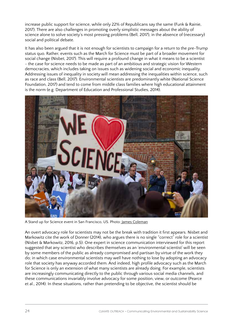<span id="page-23-0"></span>increase public support for science, while only 22% of Republicans say the same (Funk & Rainie, 2017). There are also challenges in promoting overly simplistic messages about the ability of science alone to solve society's most pressing problems (Bell, 2017), in the absence of (necessary) social and political debate.

It has also been argued that it is not enough for scientists to campaign for a return to the pre-Trump status quo. Rather, events such as the March for Science must be part of a broader movement for social change (Nisbet, 2017). This will require a profound change in what it means to be a scientist - the case for science needs to be made as part of an ambitious and strategic vision for Western democracies, which includes taking on issues such as widening social and economic inequality. Addressing issues of inequality in society will mean addressing the inequalities within science, such as race and class (Bell, 2017). Environmental scientists are predominantly white (National Science Foundation, 2017) and tend to come from middle class families where high educational attainment is the norm (e.g. Department of Education and Professional Studies, 2014).



A Stand up for Science event in San Francisco, US. Photo: [James Coleman](https://www.flickr.com/photos/43005015@N06/31500175382/in/photolist-PZyCG7-wsSWFc-Hj6nRe-UKR9m1-PDzmQd-Q3gAE6-Q3gBRe-PDzkDL-PDzcvb-PDzmob-PZyGeY-PZyAxC-Q3gCFv-Q3gzTX-6sqKQx-7QGKSL-6sqHuB-oFAZt-4kT2RN-6sqJxz-HkurD-4RHEcq-6sqGUz-6suWoY-6suUNy-6sqJ1g-6suVxq-6suUqh-6xWcj3-oFAZc-cEK8qS-a5LnF-cEK8AJ-aajtgc-9UGz1X-9QiYx-6suVoC-6sqJpc-cufhX-Fozey4-9QiZG-8TAQhk-bxJD9A-pUF6r-cEK7YW-9QiWP-8NAEJQ-HaY6jh-8j6iNz-4k6Ga)

An overt advocacy role for scientists may not be the break with tradition it first appears. Nisbet and Markowitz cite the work of Donner (2014), who argues there is no single "correct" role for a scientist (Nisbet & Markowitz, 2016, p.5). One expert in science communication interviewed for this report suggested that any scientist who describes themselves as an 'environmental scientist' will be seen by some members of the public as already compromised and partisan by virtue of the work they do; in which case environmental scientists may well have nothing to lose by adopting an advocacy role that society has anyway accorded them. And indeed, high profile advocacy such as the March for Science is only an extension of what many scientists are already doing. For example, scientists are increasingly communicating directly to the public through various social media channels, and these communications invariably involve advocacy for some position, view, or outcome (Pearce et al., 2014). In these situations, rather than pretending to be objective, the scientist should be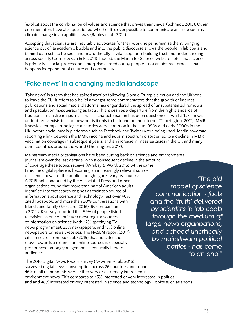'explicit about the combination of values and science that drives their views' (Schmidt, 2015). Other commentators have also questioned whether it is ever possible to communicate an issue such as climate change in an apolitical way (Rapley et al., 2014).

Accepting that scientists are inevitably advocates for their work helps humanise them. Bringing science out of its academic bubble and into the public discourse allows the people in lab coats and behind data sets to be seen and heard directly; a vital step for rebuilding trust and understanding across society (Corner & van Eck, 2014). Indeed, the March for Science website notes that science is primarily a social process, an 'enterprise carried out by people... not an abstract process that happens independent of culture and community.

## 'Fake news' in a changing media landscape

'Fake news' is a term that has gained traction following Donald Trump's election and the UK vote to leave the EU. It refers to a belief amongst some commentators that the growth of internet publications and social media platforms has engendered the spread of unsubstantiated rumours and speculation masquerading as facts. This is seen as a departure from the high standards of traditional mainstream journalism. This characterisation has been questioned - whilst 'fake news' undoubtedly exists it is not new nor is it only to be found on the internet (Thorrington, 2017). MMR (measles, mumps, rubella) scare stories were common in the late 1990s and early 2000s in the UK, before social media platforms such as Facebook and Twitter were being used. Media coverage reporting a link between the MMR vaccine and autism spectrum disorder led to a decline in MMR vaccination coverage in subsequent years, and an increase in measles cases in the UK and many other countries around the world (Thorrington, 2017).

Mainstream media organisations have been cutting back on science and environmental journalism over the last decade, with a consequent decline in the amount of coverage these topics receive (Whibey & Ward, 2016). At the same time, the digital sphere is becoming an increasingly relevant source of science news for the public, though figures vary by country. A 2015 poll conducted by the Associated Press and other organisations found that more than half of American adults identified internet search engines as their top source of information about science and technology, just over 40% cited Facebook, and more than 30% conversations with friends and family (Brossard, 2016). By comparison a 2014 UK survey reported that 59% of people listed television as one of their two most regular sources of information on science (with 42% specifying TV news programmes), 23% newspapers, and 15% online newspapers or news websites. The NASEM report (2017) cites research from Su et al. (2015) that indicates the move towards a reliance on online sources is especially pronounced among younger and scientifically literate audiences.

*"The old model of science communication - facts and the 'truth' delivered by scientists in lab coats through the medium of large news organisations, and echoed uncritically by mainstream political parties - has come to an end."*

The 2016 Digital News Report survey (Newman et al., 2016) surveyed digital news consumption across 26 countries and found 46% of all respondents were either very or extremely interested in environment news. This compares to 45% interested or very interested in politics and and 48% interested or very interested in science and technology. Topics such as sports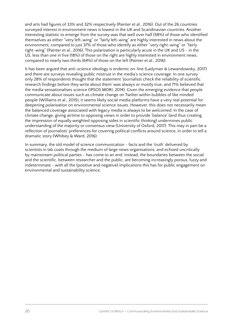and arts had figures of 33% and 32% respectively (Painter et al., 2016). Out of the 26 countries surveyed interest in environment news is lowest in the UK and Scandinavian countries. Another interesting statistic to emerge from the survey was that well over half (58%) of those who identified themselves as either "very left-wing" or "fairly left-wing" are highly interested in news about the environment, compared to just 37% of those who identify as either "very right-wing" or "fairly right-wing" (Painter et al., 2016). This polarization is particularly acute in the UK and US - in the US, less than one in five (18%) of those on the right are highly interested in environment news, compared to nearly two thirds (64%) of those on the left (Painter et al., 2016).

It has been argued that anti-science ideology is endemic on-line (Ladyman & Lewandowsky, 2017) and there are surveys revealing public mistrust in the media's science coverage. In one survey only 28% of respondents thought that the statement 'Journalists check the reliability of scientific research findings before they write about them' was always or mostly true, and 71% believed that the media sensationalises science (IPSOS MORI, 2014). Given the emerging evidence that people communicate about issues such as climate change on Twitter within bubbles of like minded people (Williams et al., 2015), it seems likely social media platforms have a very real potential for deepening polarisation on environmental science issues. However, this does not necessarily mean the balanced coverage associated with legacy media is always to be welcomed. In the case of climate change, giving airtime to opposing views in order to provide 'balance' (and thus creating the impression of equally weighted opposing sides in scientific thinking) undermines public understanding of the majority or consensus view (University of Oxford, 2017). This may in part be a reflection of journalists' preferences for covering political conflicts around science, in order to tell a dramatic story (Whibey & Ward, 2016).

In summary, the old model of science communication - facts and the 'truth' delivered by scientists in lab coats through the medium of large news organisations, and echoed uncritically by mainstream political parties - has come to an end. Instead, the boundaries between the social and the scientific, between researcher and the public, are becoming increasingly porous, fuzzy and indeterminate - with all the (positive and negative) implications this has for public engagement on environmental and sustainability science.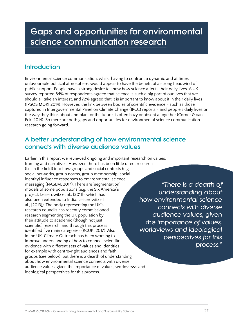## <span id="page-26-0"></span>Gaps and opportunities for environmental science communication research

## **Introduction**

Environmental science communication, whilst having to confront a dynamic and at times unfavourable political atmosphere, would appear to have the benefit of a strong headwind of public support. People have a strong desire to know how science affects their daily lives. A UK survey reported 84% of respondents agreed that science is such a big part of our lives that we should all take an interest, and 72% agreed that it is important to know about it in their daily lives (IPSOS MORI 2014). However, the link between bodies of scientific evidence - such as those captured in Intergovernmental Panel on Climate Change (IPCC) reports - and people's daily lives or the way they think about and plan for the future, is often hazy or absent altogether (Corner & van Eck, 2014). So there are both gaps and opportunities for environmental science communication research going forward.

### A better understanding of how environmental science connects with diverse audience values

Earlier in this report we reviewed ongoing and important research on values, framing and narratives. However, there has been little direct research (i.e. in the field) into how groups and social contexts (e.g. social networks, group norms, group membership, social identity) influence responses to environmental science messaging (NASEM, 2017). There are 'segmentation' models of some populations (e.g. the Six America's project; Leiserowitz et al., [2011]- which has also been extended to India; Leiserowitz et al., [2013]). The body representing the UK's research councils has recently commissioned research segmenting the UK population by their attitude to academic (though not just scientific) research, and through this process identified five main categories (RCUK, 2017). Also in the UK, Climate Outreach has been working to improve understanding of how to connect scientific evidence with different sets of values and identities, for example with centre-right audiences and faith groups (see below). But there is a dearth of understanding about how environmental science connects with diverse audience values, given the importance of values, worldviews and ideological perspectives for this process.

*"There is a dearth of understanding about how environmental science connects with diverse audience values, given the importance of values, worldviews and ideological perspectives for this process."*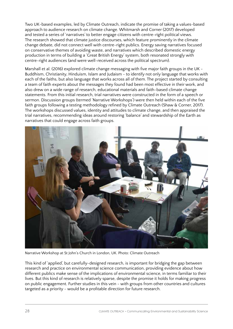<span id="page-27-0"></span>Two UK-based examples, led by Climate Outreach, indicate the promise of taking a values-based approach to audience research on climate change. Whitmarsh and Corner (2017) developed and tested a series of 'narratives' to better engage citizens with centre-right political views. The research showed that climate justice discourses, which feature prominently in the climate change debate, did not connect well with centre-right publics. Energy saving narratives focused on conservative themes of avoiding waste, and narratives which described domestic energy production in terms of building a 'Great British Energy' system, both resonated strongly with centre-right audiences (and were well-received across the political spectrum).

Marshall et al. (2016) explored climate change messaging with five major faith groups in the UK - Buddhism, Christianity, Hinduism, Islam and Judaism - to identify not only language that works with each of the faiths, but also language that works across all of them. The project started by consulting a team of faith experts about the messages they found had been most effective in their work, and also drew on a wide range of research, educational materials and faith-based climate change statements. From this initial research, trial narratives were constructed in the form of a speech or sermon. Discussion groups (termed 'Narrative Workshops') were then held within each of the five faith groups following a testing methodology refined by Climate Outreach (Shaw & Corner, 2017). The workshops discussed values, identity and attitudes to climate change, and then appraised the trial narratives, recommending ideas around restoring 'balance' and stewardship of the Earth as narratives that could engage across faith groups.



Narrative Workshop at St John's Church in London, UK. Photo: [Climate Outreach](https://drive.google.com/file/d/0B0kY8oqyIN2RcEx6RDFxZ1Zadnc/view)

This kind of 'applied', but carefully-designed research, is important for bridging the gap between research and practice on environmental science communication, providing evidence about how different publics make sense of the implications of environmental science, in terms familiar to their lives. But this kind of research is relatively sparse, despite the promise it holds for making progress on public engagement. Further studies in this vein - with groups from other countries and cultures targeted as a priority - would be a profitable direction for future research.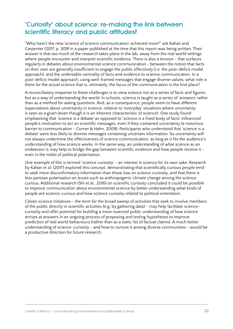## <span id="page-28-0"></span>'Curiosity' about science: re-making the link between scientific literacy and public attitudes?

"Why hasn't the new 'science of science communication' achieved more?" ask Kahan and Carpenter (2017, p. 309) in a paper published at the time that this report was being written. Their answer is that too much of the research takes place in the lab, away from the real world settings where people encounter and interpret scientific evidence. There is also a tension - that surfaces regularly in debates about environmental science communication - between the notion that facts on their own are generally insufficient to engage the public effectively (i.e. the post-deficit model approach), and the undeniable centrality of facts and evidence to science communication. In a post-deficit model approach, using well-framed messages that engage diverse values, what role is there for the actual science that is, ultimately, the focus of the communication in the first place?

A reconciliatory response to these challenges is to view science not as a series of facts and figures, but as a way of understanding the world. In schools, science is taught as a series of 'answers' rather than as a method for asking questions. And, as a consequence, people seem to have different expectations about uncertainty in science, relative to 'everyday' situations where uncertainty is seen as a given (even though it is an inherent characteristic of science). One study found emphasising that 'science is a debate' as opposed to 'science is a fixed body of facts' influenced people's motivation to act on scientific messages, even if they contained uncertainty (a notorious barrier to communication - Corner & Hahn, 2009). Participants who understood that 'science is a debate' were less likely to dismiss messages containing uncertain information. So uncertainty will not always undermine the effectiveness of science communication, as long as it fits the audience's understanding of how science works. In the same way, an understanding of what science as an endeavour is may help to bridge the gap between scientific evidence and how people receive it even in the midst of political polarisation.

One example of this is termed 'science curiosity' - an interest in science for its own sake. Research by Kahan et al. (2017) explored this concept, demonstrating that scientifically curious people tend to seek more disconfirmatory information than those low on science curiosity, and that there is less partisan polarisation on issues such as anthropogenic climate change among the science curious. Additional research (Shi et al., 2016) on scientific curiosity concluded it could be possible to improve communication about environmental science by better understanding what kinds of people are science-curious and how science curiosity related to political orientation.

Citizen science initiatives - the term for the broad sweep of activities that seek to involve members of the public directly in scientific activities (e.g. by gathering data) - may help facilitate sciencecuriosity and offer potential for building a more nuanced public understanding of how science arrives at answers in an ongoing process of proposing and testing hypotheses to improve prediction of real world behaviours (rather than as a static list of factual claims). A much better understanding of science-curiosity - and how to nurture it among diverse communities - would be a productive direction for future research.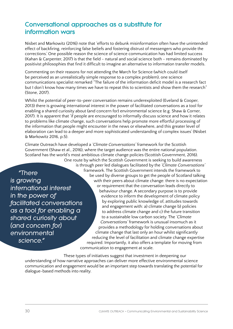## <span id="page-29-0"></span>Conversational approaches as a substitute for information wars

Nisbet and Markowitz (2016) note that 'efforts to debunk misinformation often have the unintended effect of backfiring, reinforcing false beliefs and fostering distrust of messengers who provide the corrections.' One possible reason the science of science communication has had limited success (Kahan & Carpenter, 2017) is that the field - natural and social science both - remains dominated by positivist philosophies that find it difficult to imagine an alternative to information transfer models.

Commenting on their reasons for not attending the March for Science (which could itself be perceived as an unrealistically simple response to a complex problem), one science communications specialist remarked "The failure of the information deficit model is a research fact but I don't know how many times we have to repeat this to scientists and show them the research" (Stone, 2017).

Whilst the potential of peer-to-peer conversation remains underexploited (Eveland & Cooper, 2013) there is growing international interest in the power of facilitated conversations as a tool for enabling a shared curiosity about (and concern for) environmental science (e.g. Shaw & Corner, 2017). It is apparent that 'if people are encouraged to informally discuss science and how it relates to problems like climate change, such conversations help promote more effortful processing of the information that people might encounter in the news or elsewhere, and this greater level of elaboration can lead to a deeper and more sophisticated understanding of complex issues' (Nisbet & Markowitz 2016, p.5).

Climate Outreach have developed a *'Climate Conversations'* framework for the Scottish Government (Shaw et al., 2016), where the target audience was the entire national population. Scotland has the world's most ambitious climate change policies (Scottish Government, 2016).

*"There is growing international interest in the power of facilitated conversations as a tool for enabling a shared curiosity about (and concern for) environmental science."*

One route by which the Scottish Government is seeking to build awareness is through peer led dialogues facilitated by the *'Climate Conversations'* framework. The Scottish Government intends the framework to be used by diverse groups to get the people of Scotland talking with their peers about climate change: there is no expectation or requirement that the conversation leads directly to behaviour change. A secondary purpose is to provide evidence to inform the development of climate policy by exploring public knowledge of, attitudes towards and engagement with: a) climate change b) policies to address climate change and c) the future transition to a sustainable low carbon society. The *'Climate Conversations'* framework is unusual insomuch as it provides a methodology for holding conversations about climate change that last only an hour whilst significantly reducing the level of facilitation and climate change expertise required. Importantly, it also offers a template for moving from communication to engagement at scale.

These types of initiatives suggest that investment in deepening our understanding of how narrative approaches can deliver more effective environmental science communication and engagement would be an important step towards translating the potential for dialogue-based methods into reality.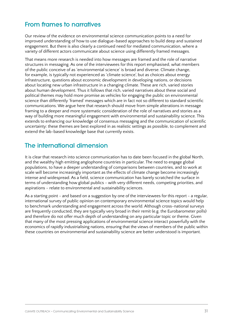### From frames to narratives

Our review of the evidence on environmental science communication points to a need for improved understanding of how to use dialogue-based approaches to build deep and sustained engagement. But there is also clearly a continued need for mediated communication, where a variety of different actors communicate about science using differently framed messages.

That means more research is needed into how messages are framed and the role of narrative structures in messaging. As one of the interviewees for this report emphasised, what members of the public conceive of as 'environmental science' is broad and diverse. Climate change, for example, is typically not experienced as 'climate science', but as choices about energy infrastructure, questions about economic development in developing nations, or decisions about locating new urban infrastructure in a changing climate. These are rich, varied stories about human development. Thus it follows that rich, varied narratives about these social and political themes may hold more promise as vehicles for engaging the public on environmental science than differently 'framed' messages which are in fact not so different to standard scientific communications. We argue here that research should move from simple alterations in message framing to a deeper and more systematic consideration of the role of narratives and stories as a way of building more meaningful engagement with environmental and sustainability science. This extends to enhancing our knowledge of consensus messaging and the communication of scientific uncertainty: these themes are best explored in as realistic settings as possible, to complement and extend the lab-based knowledge base that currently exists.

### The international dimension

It is clear that research into science communication has to date been focused in the global North, and the wealthy high emitting anglophone countries in particular. The need to engage global populations, to have a deeper understanding of comparisons between countries, and to work at scale will become increasingly important as the effects of climate change become increasingly intense and widespread. As a field, science communication has barely scratched the surface in terms of understanding how global publics - with very different needs, competing priorities, and aspirations - relate to environmental and sustainability sciences.

As a starting point - and based on a suggestion by one of the interviewees for this report - a regular, international survey of public opinion on contemporary environmental science topics would help to benchmark understanding and engagement across the world. Although cross-national surveys are frequently conducted, they are typically very broad in their remit (e.g. the Eurobarometer polls) and therefore do not offer much depth of understanding on any particular topic or theme. Given that many of the most pressing applications of environmental science interact powerfully with the economics of rapidly industrialising nations, ensuring that the views of members of the public within these countries on environmental and sustainability science are better understood is important.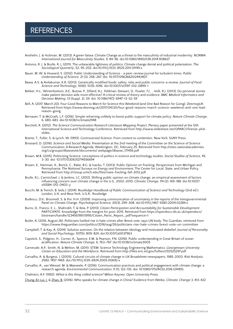## <span id="page-31-0"></span>**REFERENCES**

- Anshelm, J. & Hultman, M. (2013). A green fatwa: Climate Change as a threat to the masculinity of industrial modernity. *NORMA: International Journal for Masculinity Studies*. 9, 84-96. doi:10.1080/18902138.2014.908627
- Antonio, R. J. & Brulle, R. J. (2011). The unbearable lightness of politics: Climate change denial and political polarization. *The Sociological Quarterly*, 52, 95-202. doi:10.1111/j.1533-8525.2011.01199.x
- Bauer, M. W. & Howard, S. (2012). Public Understanding of Science a peer-review journal for turbulent times. *Public Understanding of Science*, 21 (3), 258–267. doi: 10.1177/0963662512443407.
- Bawa, A.S. & Anilakumar, K.R. (2013). Genetically modified foods: safety, risks and public concerns-a review. *Journal of Food Science and Technology*, 50(6), 1035-1046. doi:10.1007/s13197-012-0899-1
- Bekker, H.L., Winterbottom, A.E., Butow, P., Dillard, A.J., Feldman-Stewart, D., Fowler, F.J., ...Volk, R.J. (2013). Do personal stories make patient decision aids more effective? A critical review of theory and evidence. *BMC Medical Informatics and Decision Making*, 13 (Suppl. 2), S9. doi: 10.1186/1472-6947-13-S2-S9
- Bell, A. (2017, March 20). Four Good Reasons to March for Science this Weekend (and One Bad Reason for Going). *DesmogUK*. Retrieved from https://www.desmog.uk/2017/04/20/four-good-reasons-march-science-weekend-and-one-badreason-going
- Bernauer, T. & McGrath, L.F. (2016). Simple reframing unlikely to boost public support for climate policy. *Nature Climate Change*, 6, 680-683. doi:10.1038/nclimate2948
- Borchelt, R. (2012). *The Science Communication Research Literature Mapping Project*. Plenary paper presented at the 12th International Science and Technology Conference. Retrieved from http://www.slideshare.net/OPARC1/firenze-phdslides.
- Brante, T., Fuller, S. & Lynch, W. (1993). *Controversial Science: From content to contention*. New York: SUNY Press.
- Brossard, D. (2016). *Science and Social Media*. Presentation at the 2nd meeting of the Committee on the Science of Science Communication: A Research Agenda, Washington, DC, February 25. Retrieved from http://sites.nationalacademies. org/cs/groups/dbassesite/documents/ webpage/dbasse\_171456.pdf
- Brown, M.B. (2015). Politicising Science: conceptions of politics in science and technology studies. *Social Studies of Science*, 45, 3-30. doi: 10.1177/0306312714556694
- Brown, E., Hartman, K., Borick, C., Rabe, B.G. & Ivacko, T. (2013). Public Opinion on Fracking: Perspectives from Michigan and Pennsylvania, *The National Surveys on Energy and Environment*, The Center for Local, State, and Urban Policy. Retrieved from http://closup.umich.edu/files/nsee-fracking-fall-2012.pdf
- Brulle, R.J., Carmichael, J. & Jenkins, J.C. (2012). Shifting public opinion on climate change: an empirical assessment of factors influencing concern over climate change in the U.S., 2002–2010. *Climatic Change*, 114 (2), 169-188. doi:10.1007/ s10584-012-0403-y
- Bucchi, M. & Trench, B. (eds.). (2014). *Routledge Handbook of Public Communication of Science and Technology* (2nd ed.). London, U.K. and New York, U.S.A.: Routledge
- Budescu, D.V., Broomell, S. & Por, H.H. (2009). Improving communication of uncertainty in the reports of the Intergovernmental Panel on Climate Change. *Psychological Science*, 20(3), 299-308. doi:10.1111/j.1467-9280.2009.02284.x
- Burns, D., Franco, E. L., Shahrokh, T. & Ikita, P. (2013). *Citizen Participation and Accountability for Sustainable Development*. PARTICIPATE: Knowledge from the margins for post-2015. Retrieved from https://opendocs.ids.ac.uk/opendocs/ bitstream/handle/123456789/5995/Citizen\_Partic\_Report\_.pdf?sequence=1
- Butler, A. (2016, August 26). Politicians fuelled rise in hate crimes after Brexit vote, says UN body. The Guardian, retrieved from https://www.theguardian.com/politics/2016/aug/26/politicians-rise-hate-crimes-brexit-vote-un-committee
- Campbell, T. & Kay, A. (2014). Solution aversion: On the relation between ideology and motivated disbelief. *Journal of Personality and Social Psychology*, 107(5), 809-824. doi:10.1037/a0037963
- Capstick, S., Pidgeon, H., Corner, A., Spence, E.M. & Pearson, P.N. (2016). Public understanding in Great Britain of ocean acidification. *Nature Climate Change*, 6, 763–767. doi:10.1038/nclimate3005
- Carnevale, A.P., Smith, N. & Melton, M. (2011). STEM: Science Technology Engineering Mathematics. *Georgetown University Center on Education and the Workforce*. Retrieved from http://files.eric.ed.gov/fulltext/ED525297.pdf
- Carvalho, A. & Burgess, J. (2005). Cultural circuits of climate change in UK Broadsheet newspapers, 1985-2003. *Risk Analysis*, 25(6), 1457-1469. doi:/10.1111/j.1539-6924.2005.00692.x
- Carvalho, A., van Wessel, M. & Maeseele, P. (2016). Communication practices and political engagement with climate change: a research agenda. *Environmental Communication*, 11 (1), 122-135. doi: 10.1080/17524032.2016.1241815.

Chalmers, A.F. (1992). *What is this thing called science?* Milton Keynes: Open University Press.

[Chung-En Lui, J.](http://climateoutreach.org/article-authors/chung-en-lui-j/) & [Zhao, B](http://climateoutreach.org/article-authors/zhao-b/). (2016). Who speaks for climate change in China? Evidence from Weibo. *Climatic Change* 3, 413-422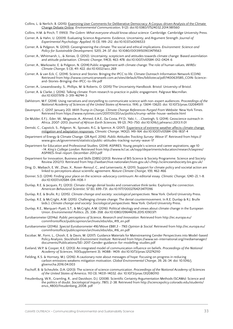- Collins, L. & Nerlich, B. (2015). Examining User Comments for Deliberative Democracy: A Corpus-driven Analysis of the Climate [Change Debate Online.](http://www.tandfonline.com/doi/abs/10.1080/17524032.2014.981560) *Environmental Communication*, 9 (2). doi:10.1080/17524032.2014.981560
- Collins, H.M. & Pinch, T. (1993). *The Golem: What everyone should know about science.* Cambridge: Cambridge University Press.
- Corner, A. & Hahn, U. (2009). Evaluating Science Arguments: Evidence, Uncertainty, and Argument Strength. *Journal of Experimental Psychology: Applied*, 15 (3), 199–212. doi:10.1037/a0016533
- Corner, A. & Pidgeon, N. (2010). Geoengineering the climate: The social and ethical implications. *Environment: Science and Policy for Sustainable Development,* 52(1), 24–37. doi: 10.1080/00139150903479563
- Corner, A., Whitmarsh, L., & Xenias, D. (2012). Uncertainty, scepticism and attitudes towards climate change: Biased assimilation and attitude polarisation. *Climatic Change*, 114(3), 463-478. doi:10.1007/s10584-012-0424-6
- Corner, A., Markowitz, E. & Pidgeon, N. (2014).Public engagement with climate change: The role of human values, *WIREs: Climate Change*, 5 (3), 411-422. doi:10.1002/wcc.269
- Corner, A. & van Eck, C. (2014). Science and Stories: Bringing the IPCC to life. Climate Outreach Information Network (COIN). Retrieved from http://www.comunicarseweb.com.ar/sites/default/files/biblioteca/pdf/1400631585\_COIN-Scienceand-Stories-Bringing-the-IPCC-to-life.pdf
- Corner, A., Lewandowsky, S., Phillips, M. & Roberts, O. (2015) The Uncertainty Handbook. Bristol: University of Bristol.
- Corner, A. & Clarke, J. (2016). Talking climate: From research to practice in public engagement. Palgrave Macmillan. doi:10.1007/978-3-319-46744-3
- Dahlstrom, M.F. (2014). Using narratives and storytelling to communicate science with non-expert audiences. *Proceedings of the National Academy of Sciences of the United States of America,* 11(4), p. 13614–13620. doi: 10.1073/pnas.1320645111
- Davenport, C. (2017, January 20). *With Trump in Charge, Climate Change References Purged From Website*. New York Times. Retrieved from https://www.nytimes.com/2017/01/20/us/politics/trump-white-house-website.html
- De Mulder, E.F.J., Eder, W., Mogessie, A., Ahmed, E.A.E., Da Costa, P.Y.D., Yabi, I., ...Cloetingh, S. (2014). Geoscience outreach in Africa, 2007–2013. *Journal of African Earth Sciences,* 99 (2), 743–750. doi:10.1016/j.jafrearsci.2013.11.01
- Demski, C., Capstick, S., Pidgeon, N., Sposato, R.G. & Spence, A. (2017). Experience of extreme weather affects climate change [mitigation and adaptation responses.](http://orca.cf.ac.uk/95306/) *Climatic Change*, 140(2), 149-164. doi:10.1007/s10584-016-1837-4
- Department of Energy & Climate Change. (28 April, 2016). *Public Attitudes Tracking Survey: Wave 17*. Retrieved from https:// www.gov.uk/government/statistics/public-attitudes-tracking-survey-wave-17
- Department for Education and Professional Studies. (2014). ASPIRES: Young people's science and career aspirations, age 10 –14. *King's College London*. Retrieved from http://www.kcl.ac.uk/sspp/departments/education/research/aspires/ ASPIRES-final-report-December-2013.pdf
- Department for Innovation, Business and Skills [DIBS] (2013). Review of BIS Science & Society Programme. Science and Society Review 2012/13. Retrieved from http://webarchive.nationalarchives.gov.uk/+/http:/scienceandsociety.bis.gov.uk/
- Ding, D., Maibach, E. W., Zhao, X., Roser-Renouf, C., and Leiserowitz, A. (2011). Support for climate policy and societal action are linked to perceptions about scientific agreement. *Nature Climate Change*, 1(9), 462-466
- Donner, S.D. (2014). Finding your place on the science–advocacy continuum: An editorial essay. *Climatic Change*, 124(1-2), 1-8. doi:10.1007/s10584-014-1108-1
- Dunlap, R.E. & Jacques, P.J. (2013). Climate change denial books and conservative think tanks: Exploring the connection. *American Behavioral Scientist*, 57 (6), 699-731. doi:10.1177/0002764213477096
- Dunlap, R.E. & Brulle, R.J. (2015). *Climate change and society: sociological perspectives*. New York: Oxford University Press.
- Dunlap, R.E. & McCright, A.M. (2015). Challenging climate change: The denial countermovement. In R.E. Dunlap & R.J. Brulle (eds.), *Climate change and society: Sociological perspectives*. New York: Oxford University Press.
- Dunlap, R.E., Marquart-Pyatt, S.T., & McCright, A.M. (2016). Political ideology and views about climate change in the European Union. *Environmental Politics*, 25, 338–358. doi:10.1080/09644016.2015.1090371
- Eurobarometer (2014a). *Public perceptions of Science, Research and Innovation*. Retrieved from http://ec.europa.eu/ commfrontoffice/publicopinion/archives/ebs/ebs\_419\_en.pdf
- Eurobarometer (2014b). *Special Eurobarometer 416/Wave EB81.3 TNS Opinion & Social*. Retrieved from http://ec.europa.eu/ commfrontoffice/publicopinion/archives/ebs/ebs\_416\_en.pdf
- Escobar, M., Forni, L., Ghosh, E. & Davis, M. (2017). Guidance Materials for Mainstreaming Gender Perspectives into Model-based Policy Analysis. *Stockholm Environment Institute*. Retrieved from https://www.sei-international.org/mediamanager/ documents/Publications/SEI-2017-Gender-guidance-for-modelling-studies.pdf
- Eveland, W.P. & Cooper, K.E. (2013). An integrated model of communication influence on beliefs. *Proceedings of the National Academy of Sciences*, 110(Supplement 3), 14088- 1409. doi:10.1073/pnas.1212742110
- Fielding, K.S. & Hornsey, M.J. (2016). A cautionary note about messages of hope: Focusing on progress in reducing carbon emissions weakens mitigation motivation. *Global Environmental Change*, 39, 26-34. doi: 10.1016/j. gloenvcha.2016.04.003
- Fischoff, B. & Scheufele, D.A. (2013). The science of science communication. *Proceedings of the National Academy of Sciences of the United States of America*, 110 (3), 14031-14032. doi: 10.1073/pnas.1312080110
- Freudenburg, W.R., Gramling, R., and Davidson, D.J. (2008). Scientific Certainty Argumentation Methods (SCAMs): Science and the politics of doubt. *Sociological Inquiry*, 78(1), 2-38. Retrieved from http://sciencepolicy.colorado.edu/students/ envs\_4800/freudenberg\_2008. pdf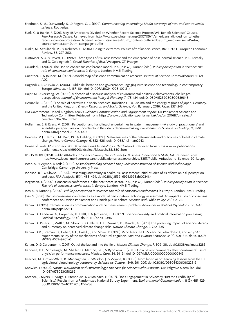- Friedman, S. M., Dunwoody, S., & Rogers, C. L. (1999). *Communicating uncertainty: Media coverage of new and controversial science*. Routledge.
- Funk, C. & Rainie, R. (2017, May 11) Americans Divided on Whether Recent Science Protests Will Benefit Scientists' Causes. *Pew Research Centre*. Retrieved from http://www.pewinternet.org/2017/05/11/americans-divided-on-whetherrecent-science-protests-will-benefit-scientists-causes/?utm\_content=buffer41f1c&utm\_medium=social&utm\_ source=twitter.com&utm\_campaign=buffer
- Funke, M., Schularick, M., & Trebesch, C. (2016). Going to extremes: Politics after financial crises, 1870–2014. European Economic Review, 88, 227-260.
- Funtowicz, S.O. & Ravetz, J.R. (1992). Three types of risk assessment and the emergence of post-normal science. In S. Krimsky and D. Golding (eds.), *Social Theories of Risk*. Westport, CT: Praeger
- Grundahl, J. (2002). The Danish consensus conference model. In S. Joss & J. Durant (eds.), *Public participation in science: The role of consensus conferences in Europ*e. London: NMSI Trading.
- Guenther, L. & Joubert, M. (2017). A world map of science communication research. *Journal of Science Communication*, 16 (2), A02.
- Hagendijk, R. & Irwin, A. (2006). Public deliberation and governance: Engaging with science and technology in contemporary Europe. *Minerva*, 44, 167–184. doi:10.1007/s11024-006-0012-x
- Hajer, M. & Versteeg, W. (2006). A decade of discourse analysis of environmental politics: Achievements, challenges, perspectives. *Journal of Environmental Policy & Planning*, 7, 175-184. doi:10.1080/15239080500339646
- Hermville, L. (2016). 'The role of narratives in socio-technical transitions—Fukushima and the energy regimes of Japan, Germany, and the United Kingdom.' *Energy Research and Social Science*, [Vol. 11](https://idp.sussex.ac.uk/idp/Authn/UserPassword), January 2016, Pages 237–246
- HM Government, United Kingdom. (2017). *Science Communication and Engagement Report*. UK Parliament Science and Technology Committee. Retrieved from: https://www.publications.parliament.uk/pa/cm201617/cmselect/ cmsctech/162/16201.htm
- Hollerman, B. & Evers, M. (2017). Perception and handling of uncertainties in water management—A study of practitioners' and scientists' perspectives on uncertainty in their daily decision-making. *Environmental Science and Policy*, 71, 9-18. doi:10.1016/j.envsci.2017.02.003
- Hornsey, M.J., Harris, E.M., Bain, P.G. & Fielding, K. (2016). Meta-analyses of the determinants and outcomes of belief in climate change. *Nature Climate Change*, 6, 622-626. doi: 10.1038/nclimate2943
- House of Lords. (23 February, 2000). *Science and Technology Third Report*. Retrieved from https://www.publications. parliament.uk/pa/ld199900/ldselect/ldsctech/38/3801.htm
- IPSOS MORI. (2014). Public Attitudes to Science Survey. *Department for Business, Innovation & Skills, UK*. Retrieved from [https://www.ipsos-mori.com/researchpublications/researcharchive/3357/Public-Attitudes-to-Science-2014.aspx](https://www.ipsos.com/ipsos-mori/en-uk/public-attitudes-science-2014)
- Irwin, A. & Wynne, B. (eds.). (1996). *Misunderstanding science? The public reconstruction of science and technology.* Cambridge: Cambridge University Press.
- Johnson, B.B. & Slovic, P. (1995). Presenting uncertainty in health risk assessment: Initial studies of its effects on risk perception and trust. *Risk Analysis*, 15(4), 485-494. doi:10.1111/j.1539-6924.1995.tb00341.x
- Jorgensen, T. (2002). Consensus conferences in the healthcare sector. In S. Joss & J. Durant (eds.), *Public participation in science: The role of consensus conferences in Europe.* London: NMSI Trading.
- Joss, S. & Durant, J. (2002). *Public participation in science: The role of consensus conferences in Europe.* London: NMSI Trading.
- Joss, S. (1998). Danish consensus conferences as a model of participatory technology assessment: An impact study of consensus conferences on Danish Parliament and Danish public debate. *Science and Public Policy*, 25(1), 2–22.
- Kahan, D. (2015). Climate science communication and the measurement problem. *Advances in Political Psychology*. 36, 1-43. doi:10.1111/pops.12244
- Kahan, D., Landrum, A., Carpenter, K., Helft, L. & Jamieson, K.H. (2017). Science curiosity and political information processing. *Political Psychology*, 38 (1). doi:10.1111/pops.12396
- Kahan, D., Peters, E., Wittlin, M., Slovic, P., Ouellette, L. L., Braman, D., Mandel, G., (2012) The polarizing impact of science literacy and numeracy on perceived climate change risks, *Nature Climate Change*, 2, 732–735
- Kahan, D.M., Braman, D., Cohen, G.L., Gastil, J., and Slovic, P. (2010). Who fears the HPV vaccine, who doesn't, and why? An experimental study of the mechanisms of cultural cognition. *Law and Human Behavior*, 34(6), 501-516. doi:10.1007/ s10979-009-9201-0
- Kahan, D. & Carpenter, K. (2017) Out of the lab and into the field. *Nature Climate Change*, 7, 309–311. doi:10.1038/nclimate3283
- Kanouse, D.E., Schlesinger, M., Shaller, D., Martino, S.C., & Rybowski, L. (2016). How patient comments affect consumers' use of physician performance measures. *Medical Care*, 54, 24–31. doi:10.1097/MLR.0000000000000443
- Kearnes, M., Grove-White, R., Macnaghten, P., Wilsdon, J. & Wynne, B. (2006). From bio to nano: Learning lessons from the UK agricultural biotechnology controversy. *Science as Culture*, 15(4), 291–307. doi:10.1080/09505430601022619
- Knowles, J. (2003). *Norms, Naturalism and Epistemology: The case for science without norms.* UK: Palgrave Macmillan. doi: 10.1057/9780230511262
- Kotcher, J., Myers, T., Vraga, E. Stenhouse, N & Maibach, E. (2017). Does Engagement in Advocacy Hurt the Credibility of Scientists? Results from a Randomized National Survey Experiment. *Environmental Communication*, 11 (3), 415-429. doi:10.1080/17524032.2016.1275736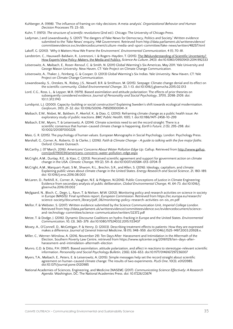- Kuhberger, A. (1998). 'The influence of framing on risky decisions: A meta-analysis'. *Organizational Behavior and Human Decision Processes* 75: 23–55.
- Kuhn, T. (1970). *The structure of scientific revolutions* (2nd ed.). Chicago: The University of Chicago Press.
- Ladyman, J and Lewandowsky, S. (2017) 'The dangers of Fake News for Democracy, Politics and Society'. Written evidence submitted to the 'Fake News' enquiry, HM Government. Retrieved from http://data.parliament.uk/writtenevidence/ committeeevidence.svc/evidencedocument/culture-media-and-sport-committee/fake-news/written/48257.html
- Lakoff, G. (2010). 'Why it Matters How We Frame the Environment'. *Environmental Communication*, 4 (1), 70-81.
- Landström, C., Hauxwell-Baldwin, R., Lorenzoni, I. & Rogers-Hayden, T. (2015). The (Mis)understanding of Scientific Uncertainty? [How Experts View Policy-Makers, the Media and Publics.](http://www.tandfonline.com/doi/abs/10.1080/09505431.2014.992333) *Science As Culture*, 24(3). doi:10.1080/09505431.2014.992333
- Leiserowitz, A., Maibach, E., Roser-Renouf, C. & Smith, N. (2011) Global Warming's Six Americas, May 2011. Yale University and George Mason University. New Haven, CT: Yale Project on Climate Change Communication.
- Leiserowitz, A., Thaker, J., Feinberg, G. & Cooper, D. (2013) Global Warming's Six Indias. Yale University. New Haven, CT: Yale Project on Climate Change Communication.
- Lewandowsky, S., Oreskes, N., Risbey, J.S., Newell, B.R. & Smithson, M. (2015). Seepage: Climate change denial and its effect on the scientific community. *Global Environmental Change*, 33, 1-13. doi:10.1016/j.gloenvcha.2015.02.013
- Lord, C.G., Ross, L., & Lepper, M.R. (1979). Biased assimilation and attitude polarization: The effects of prior theories on subsequently considered evidence. *Journal of Personality and Social Psychology*, 37(11), 2098-2109. doi: 10.1.1.372.1743
- Lundqvist, L.J. (2000). Capacity-building or social construction? Explaining Sweden's shift towards ecological modernisation. *Geoforum*, 31(1), 21-32. doi: 10.1016/S0016-7185(99)00041-X
- Maibach, E.W., Nisbet, M., Baldwin, P., Akerlof, K., & Diao, G. (2010). Reframing climate change as a public health issue: An exploratory study of public reactions. *BMC Public Health*, 10(1), 1. doi:10.1186/1471-2458-10-299
- Maibach, E.W., Myers, T. & Leiserowitz, A. (2014). Climate scientists need to set the record straight: There is a scientific consensus that human-caused climate change is happening. *Earth's Future*, 2 (5), 295-298. doi: 10.1002/2013EF000226
- Maio, G. R. (2015). The psychology of human values. European Monographs in Social Psychology. London: Psychology Press.
- Marshall, G., Corner, A., Roberts, O. & Clarke, J. (2016). *Faith & Climate Change A guide to talking with the five major faiths*. Oxford: Climate Outreach.
- McCarthy, J. (17 March, 2016). *Americans' Concerns About Water Pollution Edge Up*. Gallup. Retrieved from [http://www.gallup.](http://www.gallup.com/poll/190034/americans-concerns-water-pollution-edge.aspx) [com/poll/190034/americans-concerns-water-pollution-edge.aspx](http://www.gallup.com/poll/190034/americans-concerns-water-pollution-edge.aspx)
- McCright, A.M., Dunlap, R.E., & Xiao, C. (2013). Perceived scientific agreement and support for government action on climate change in the USA. *Climatic Change,* 119 (2), 511–8. doi:10.1007/s10584-013-0704-9
- McCright, A.M., Marquart-Pyatt, S M., Shwom, R.L., Brechin, S.R., and Allen, S. (2016). Ideology, capitalism, and climate: Explaining public views about climate change in the United States. *Energy Research and Social Science*, 21, 180-189. doi: 10.1016/j.erss.2016.08.003
- McLaren, D., Parkhill, K., Corner, A., Vaughan, N.E. & Pidgeon, N.(2016). Public Conceptions of Justice in Climate Engineering: Evidence from secondary analysis of public deliberation, *Global Environmental Change*, 41, 64-73. doi:10.1016/j. gloenvcha.2016.09.002
- Mejlgaard, N., Bloch, C., Degn, L., Ravn, T. & Nielsen, M.W. (2012). Monitoring policy and research activities on science in society in Europe (MASIS): Final synthesis report, *European Commission*. Retrieved from https://ec.europa.eu/research/ science-society/document\_library/pdf\_06/monitoring-policy-research-activities-on-sis\_en.pdf
- Mellor, F. & Webster, S. (2017). Written evidence submitted by the Science Communication Unit, *Imperial College London*. Retrieved from http://data.parliament.uk/writtenevidence/committeeevidence.svc/evidencedocument/scienceand-technology-committee/science-communication/written/32372.pdf
- Metze, T. & Dodge, J. (2016). Dynamic Discourse Coalitions on hydro-fracking in Europe and the United States. *Environmental Communication*, 10, (3), 365-379. doi:10.1080/17524032.2015.1133437
- Moxey, A., O'Connell, D., McGettigan, P. & Henry, D. (2003). Describing treatment effects to patients: How they are expressed makes a difference. *Journal of General Internal Medicine*, 18 (11), 948–959. doi:10.1046/j.1525-1497.2003.20928.x.
- Miller, C., Werner-Winslow, A. (2016, November 29). Ten Days After: Harassment and Intimidation in the Aftermath of the Election, Southern Poverty Law Centre, retrieved from https://www.splcenter.org/20161129/ten-days-afterharassment-and-intimidation-aftermath-election
- Munro, G.D. & Ditto, P.H. (1997). Biased assimilation, attitude polarization, and affect in reactions to stereotype-relevant scientific information. *Personality and Social Psychology Bulletin,* 23(6), 636-653. doi:10.1177/0146167297236007
- Myers, T.A., Maibach, E., Peters, E. & Leiserowitz, A. (2015). Simple messages help set the record straight about scientific agreement on human-caused climate change: The results of two experiments. *PLoS One*, 10(3), e0120985. doi:10.1371/journal.pone.0120985
- National Academies of Sciences, Engineering, and Medicine [NASEM]. (2017). *Communicating Science Effectively: A Research Agenda.* Washington, DC: The National Academies Press. doi: 10.17226/23674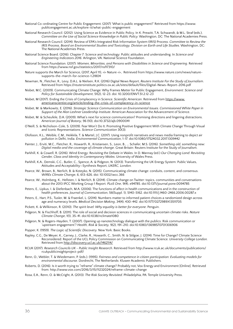- National Co-ordinating Centre for Public Engagement. (2017) 'What is public engagement?' Retrieved from https://www. publicengagement.ac.uk/explore-it/what-public-engagement
- National Research Council. (2012). Using Science as Evidence in Public Policy. In K. Prewitt, T.A. Schwandt, & M.L. Straf (eds.), *Committee on the Use of Social Science Knowledge in Public Policy.* Washington, DC: The National Academies Press.
- National Research Council. (2014). Review of EPA's Integrated Risk Information System (IRIS) Process. *Committee to Review the IRIS Process, Board on Environmental Studies and Toxicology, Division on Earth and Life Studies.* Washington, DC: The National Academies Press.
- National Science Board. (2016). Chapter 7: Science and technology: Public attitudes and understanding. In *Science and Engineering Indicators 2016.* Arlington, VA: National Science Foundation.
- National Science Foundation. (2017). *Women, Minorities, and Persons with Disabilities in Science and Engineering.* Retrieved from https://www.nsf.gov/statistics/2017/nsf17310/
- Nature supports the March for Science, (2017, April 11), *iiv Nature iiv*, Retrieved from https://www.nature.com/news/naturesupports-the-march-for-science-1.21804
- Newman, N., Fletcher, R., Levy, D.A.L. & Nielsen, R.K. (2016) Digital News Report, *Reuters Institute For the Study of Journalism*. Retrieved from https://reutersinstitute.politics.ox.ac.uk/sites/default/files/Digital-News-Report-2016.pdf
- Nisbet, M.C. (2009). Communicating Climate Change: Why Frames Matter for Public Engagement, *Environment: Science and Policy for Sustainable Development*, 51(2), 12-23. doi: 10.3200/ENVT.51.2.12-23
- Nisbet, M (2017). Ending the Crisis of Complacency in Science. *Scientific American*. Retrieved from [https://www.](https://www.americanscientist.org/article/ending-the-crisis-of-complacency-in-science) [americanscientist.org/article/ending-the-crisis-of-complacency-in-science](https://www.americanscientist.org/article/ending-the-crisis-of-complacency-in-science)
- Nisbet, M. & Markowitz, E. (2016). *Strategic Science Communication on Environmental Issues. Commissioned White Paper in Support of the Alan Leshner Leadership Institute*. American Association for the Advancement of Science.
- Nisbet, M. & Scheufele, D.A. (2009). What's next for science communication? Promising directions and lingering distractions. *American Journal of Botany*, 96 (10), doi:10.3732/ajb.0900041
- O'Neill, S. & Nicholson-Cole, S. (2009). Fear Won't Do It: Promoting Positive Engagement With Climate Change Through Visual and Iconic Representations. *Science Communication* 30(3).
- Olofsson, K.L., Weible, C.M., Heikkila, T. & Martel, J.C. (2017). Using nonprofit narratives and news media framing to depict air pollution in Delhi, India. *Environmental Communication*, 1-17. doi:10.1080/17524032.2017.1309442
- Painter, J., Erviti, M.C., Fletcher, R., Howarth, R., Kristiansen, S., Leon, B., … Schafer, M.S. (2016). *Something old, something new: Digital media and the coverage of climate change*. Great Britain: Reuters Institute for the Study of Journalism.
- Parkhill, K. & Cowell, R. (2016). Wind Energy: Revisiting the Debate in Wales. In D. Mannay (ed.) *Our Changing Land: Revisiting Gender, Class and Identity in Contemporary Wales*. University of Wales Press.
- Parkhill, K.A., Demski, C.C., Butler, C., Spence, A. & Pidgeon, N. (2013). Transforming the UK Energy System: Public Values, Attitudes and Acceptability—Synthesis Report, *UKERC, London.*
- Pearce, W., Brown, B., Nerlich, B. & Koteyko, N. (2015). Communicating climate change: conduits, content, and consensus. *WIREs Climate Change*, 6, 613-626. doi: 10.1002/wcc.366
- Pearce, W., Holmberg, K., Hellsten, I. & Nerlich, B. (2014). Climate change on Twitter: topics, communities and conversations about the 2013 IPCC Working Group 1 Report. *PLoS One*, 9(4), e94785. doi:10.1371/journal.pone.0094785
- Peters, E., Lipkus, I. & Diefenbach, M.A. (2006). The functions of affect in health communications and in the construction of health preferences. *Journal of Communication*, 56(Suppl. 1), S140-S162. doi:10.1111/j.1460-2466.2006.00287.x
- Peters, E., Hart, P.S., Tusler, M. & Fraenkel, L. (2014). Numbers matter to informed patient choices a randomized design across age and numeracy levels. *Medical Decision Making*, 34(4), 430-442. doi:10.1177/0272989X13511705
- Pickett, K. & Wilkinson, R. (2010). *The spirit level: Why equality is better for everyone*. Penguin.
- Pidgeon, N. & Fischhoff, B. (2011). The role of social and decision sciences in communicating uncertain climate risks. *Nature Climate Change*, 1(1), 35-41. doi:10.1038/nclimate1080
- Pidgeon, N. & Rogers-Hayden, T. (2007). Opening up nanotechnology dialogue with the publics: Risk communication or 'upstream engagement'? *Health, Risk & Society,* 9(2), 191–210. doi:10.1080/13698570701306906
- Popper, K. (1959). *The Logic of Scientific Discovery.* New York: Basic Books.
- Rapley, C.G., De Meyer, K., Carney, J., Clarke, R., Howarth, C., Smith, N. & Stilgoe, J. (2014). Time for Change? Climate Science Reconsidered: Report of the UCL Policy Commission on Communicating Climate Science. *University College London.* Retrieved from<http://discovery.ucl.ac.uk/1462114/>
- RCUK (2017). *Research Councils UK Public Insight Research*. Retrieved from http://www.rcuk.ac.uk/documents/publications/ rcukpublicinsightproject-pdf/
- Renn, O., Webler, T. & Wiedemann, P. (eds.). (1995). *Fairness and competence in citizen participation: Evaluating models for environmental discourse.* Dordrecht, The Netherlands: Kluwer Academic Publishers.
- Roberts, D. (2016). Is it worth trying to "reframe" climate change? Probably not, Vox Energy and Environment [Online]. Retrieved from: http://www.vox.com/2016/3/15/11232024/reframe-climate-change
- Rosa, E.A., Renn, O. & McCright, A. (2013). *The Risk Society Revisited.* Philadelphia, PA: Temple University Press.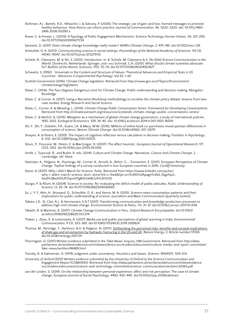- Rothman, A.J., Bartels, R.D., Wlaschin, J. & Salovey, P. (2006). The strategic use of gain-and loss-framed messages to promote healthy behaviour: How theory can inform practice. *Journal of Communication,* 56, S202–S220. doi: 10.1111/j.1460- 2466.2006.00290.x
- Rowe, G. & Frewer, L. (2005). A Typology of Public Engagement Mechanisms. *Science Technology Human Values*, 30, 251-290. doi:10.1177/0162243904271724
- Sarewitz, D. (2011). Does climate change knowledge really matter? *WIREs Climate Change*, 2, 475-481. doi:10.1002/wcc.126
- Scheufele, D. A. (2013). *Communicating science in social settings. Proceedings of the National Academy of Sciences.* 110 (3): 14040-14047. doi:10.1073/pnas.1213275110
- Schiele, B., Claessens, M. & Shi, S. (2012). Introduction. In: B. Schiele, M. Claessens & S. Shi (Eds) *Science Communication in the World.* Dordrecht, Netherlands: Springer, xxiii–xxv Schmidt, G.A. (2015). What should climate scientists advocate for? *Bulletin of the Atomic Sciences*, 71(1), 70-74, doi:10.1177/0096340214563677.
- Schwartz, S. (1992) . 'Universals in the Content and Structure of Values: Theoretical Advances and Empirical Tests in 20 Countries.' *Advances in Experimental Psychology*, Vol.25, 1-65
- Scottish Government (2016). Climate Change legislation. Retrieved from http://www.gov.scot/Topics/Environment/ climatechange/legislation
- Shaw, C. (2016). The Two Degrees Dangerous Limit for Climate Change. Public understanding and decision making. Abingdon: Routledge
- Shaw, C. & Corner, A. (2017). Using a Narrative Workshop methodology to socialise the climate policy debate: lessons from two case studies. Energy Research and Social Science.
- Shaw, C., Corner, A. & Messling, L. (2016). *Climate Change Public Conversation Series. Framework for Developing Conversations.*  Retrieved from http://climateoutreach.org/resources/scotlands-climate-change-public-conversations-series/
- Shaw, C. & Nerlich, B. (2015). Metaphor as a mechanism of global climate change governance: a study of international policies, 1992-2012. *Ecological Economics*, 109, 34-40. doi: 10.1016/j.ecolecon.2014.11.001 0921-8009
- Shi, F., Shi, Y., Dokshin, F.A., Evans, J.A. & Macy, M.W. (2016). Millions of online book co-purchases reveal partisan differences in consumption of science. *Nature Climate Change*. doi:10.1038/s41562-017-0079
- Sinayev, A. & Peters, E. (2015). The impact of cognitive reflection versus calculation in decision making. *Frontiers in Psychology*, 6, 532. doi:10.3389/fpsyg.2015.00532
- Slovic, P., Finucane, M., Peters, E. & MacGregor, D. (2007). The affect heuristic. *European Journal of Operational Research*, 177, 1333–1352. doi:10.1016/j.ejor.2005.04.006
- Smith, J., Tyszczuk, R., and Butler, R. eds. (2014). Culture and Climate Change: Narratives. *Culture and Climate Change*, 2. Cambridge, UK: Shed.
- Steentjes, K., Pidgeon, N., Poortinga, W., Corner, A., Arnold, A., Böhm, G.,...Tvinnereim, E. (2017). European Perceptions of Climate Change: Topline findings of a survey conducted in four European countries in 2016. *Cardiff University.*
- Stone, A. (2017). Why I didn't March for Science. *Pulse*. Retrieved from https://www.linkedin.com/pulse/ why-i-didnt-march-science-alvin-stone?trk=v-feed&lipi=urn%3Ali%3Apage%3Ad\_flagship3\_ feed%3Bw5d%2FOqonDTgBIZrloK8GLA%3D%3D
- Sturgis, P. & Allum, N. (2004). Science in society: Re-evaluating the deficit model of public attitudes. *Public Understanding of Science*, 13, 55–74. doi:10.1177/0963662504042690
- Su, L. Y. F., Akin, H., Brossard, D., Scheufele, D. A., and Xenos, M. A. (2015). Science news consumption patterns and their implications for public understanding of science. Journalism and Mass Communication Quarterly [online].
- Tabara, J.D., St. Clair, A.L. & Hermansen, E.A.T (2017). Transforming communication and knowledge production processes to address high-end climate change. *Environmental Science & Policy*, 70, 31-37. doi:10.1016/j.envsci.2017.01.004
- Takashi, B. & Martinez, A. (2017). Climate Change Communication in Peru. *Oxford Research Encyclopedia.* doi:10.1093/ acrefore/9780190228620.013.574
- Thaker, J., Zhao, X. & Leiserowitz, A. (2017). Media use and public perceptions of global warming in India, *Environmental Communication*, 11 (3), 353-369. doi:10.1080/17524032.2016.1269824
- Thomas, M., Partridge, T., Harthorn, B.H. & Pidgeon, N. (2017). <u>Deliberating the perceived risks, benefits and societal implications</u> [of shale gas and oil extraction by hydraulic fracturing in the US and UK.](http://orca.cf.ac.uk/98853/) *Nature Energy,* 2, Article number:17054. doi:10.1038/nenergy.2017.54
- Thorrington, D. (2017) Written evidence submitted to the 'Fake News' enquiry, HM Government. Retrieved from http://data. parliament.uk/writtenevidence/committeeevidence.svc/evidencedocument/culture-media-and-sport-committee/ fake-news/written/46489.html
- Tversky, A. & Kahneman, D. (1974). Judgment under uncertainty: Heuristics and biases. *Science*, 185(4157), 1124-1131.
- University of Oxford (2017) Written evidence submitted by the University of Oxford to the Science Communication and Engagement Report (COM0043). Retrieved from http://data.parliament.uk/writtenevidence/committeeevidence. svc/evidencedocument/science-and-technology-committee/science-communication/written/32565.pdf
- van der Linden, S. (2014). On the relationship between personal experience, affect and risk perception: The case of climate change. *European Journal of Social Psychology,* 44(5), 430-440. doi:10.1002/ejsp.2008/abstract